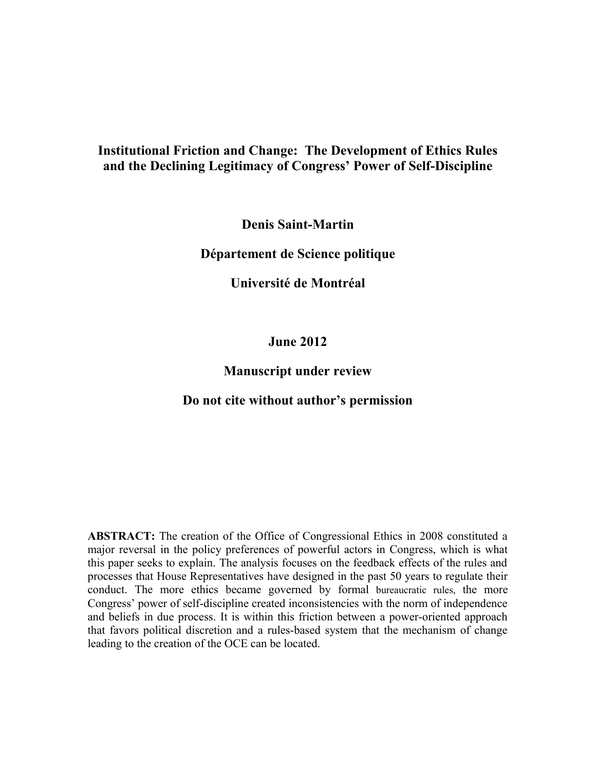# **Institutional Friction and Change: The Development of Ethics Rules and the Declining Legitimacy of Congress' Power of Self-Discipline**

**Denis Saint-Martin**

**Département de Science politique**

**Université de Montréal**

**June 2012**

# **Manuscript under review**

# **Do not cite without author's permission**

**ABSTRACT:** The creation of the Office of Congressional Ethics in 2008 constituted a major reversal in the policy preferences of powerful actors in Congress, which is what this paper seeks to explain. The analysis focuses on the feedback effects of the rules and processes that House Representatives have designed in the past 50 years to regulate their conduct. The more ethics became governed by formal bureaucratic rules, the more Congress' power of self-discipline created inconsistencies with the norm of independence and beliefs in due process. It is within this friction between a power-oriented approach that favors political discretion and a rules-based system that the mechanism of change leading to the creation of the OCE can be located.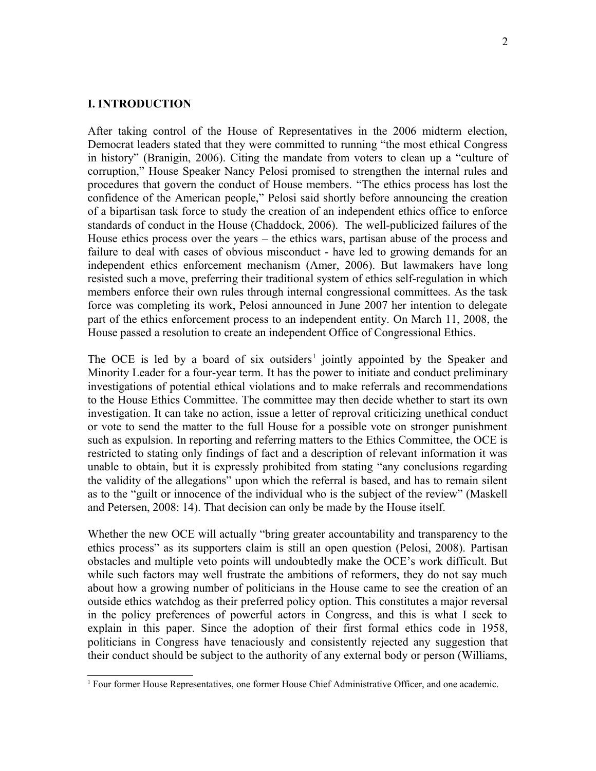## **I. INTRODUCTION**

After taking control of the House of Representatives in the 2006 midterm election, Democrat leaders stated that they were committed to running "the most ethical Congress in history" (Branigin, 2006). Citing the mandate from voters to clean up a "culture of corruption," House Speaker Nancy Pelosi promised to strengthen the internal rules and procedures that govern the conduct of House members. "The ethics process has lost the confidence of the American people," Pelosi said shortly before announcing the creation of a bipartisan task force to study the creation of an independent ethics office to enforce standards of conduct in the House (Chaddock, 2006). The well-publicized failures of the House ethics process over the years – the ethics wars, partisan abuse of the process and failure to deal with cases of obvious misconduct - have led to growing demands for an independent ethics enforcement mechanism (Amer, 2006). But lawmakers have long resisted such a move, preferring their traditional system of ethics self-regulation in which members enforce their own rules through internal congressional committees. As the task force was completing its work, Pelosi announced in June 2007 her intention to delegate part of the ethics enforcement process to an independent entity. On March 11, 2008, the House passed a resolution to create an independent Office of Congressional Ethics.

The OCE is led by a board of six outsiders<sup>[1](#page-1-0)</sup> jointly appointed by the Speaker and Minority Leader for a four-year term. It has the power to initiate and conduct preliminary investigations of potential ethical violations and to make referrals and recommendations to the House Ethics Committee. The committee may then decide whether to start its own investigation. It can take no action, issue a letter of reproval criticizing unethical conduct or vote to send the matter to the full House for a possible vote on stronger punishment such as expulsion. In reporting and referring matters to the Ethics Committee, the OCE is restricted to stating only findings of fact and a description of relevant information it was unable to obtain, but it is expressly prohibited from stating "any conclusions regarding the validity of the allegations" upon which the referral is based, and has to remain silent as to the "guilt or innocence of the individual who is the subject of the review" (Maskell and Petersen, 2008: 14). That decision can only be made by the House itself.

Whether the new OCE will actually "bring greater accountability and transparency to the ethics process" as its supporters claim is still an open question (Pelosi, 2008). Partisan obstacles and multiple veto points will undoubtedly make the OCE's work difficult. But while such factors may well frustrate the ambitions of reformers, they do not say much about how a growing number of politicians in the House came to see the creation of an outside ethics watchdog as their preferred policy option. This constitutes a major reversal in the policy preferences of powerful actors in Congress, and this is what I seek to explain in this paper. Since the adoption of their first formal ethics code in 1958, politicians in Congress have tenaciously and consistently rejected any suggestion that their conduct should be subject to the authority of any external body or person (Williams,

<span id="page-1-0"></span><sup>&</sup>lt;sup>1</sup> Four former House Representatives, one former House Chief Administrative Officer, and one academic.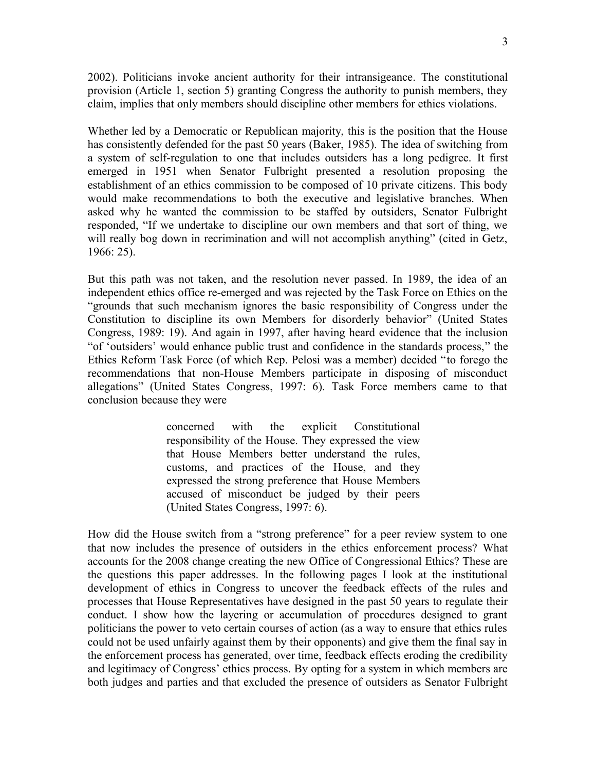2002). Politicians invoke ancient authority for their intransigeance. The constitutional provision (Article 1, section 5) granting Congress the authority to punish members, they claim, implies that only members should discipline other members for ethics violations.

Whether led by a Democratic or Republican majority, this is the position that the House has consistently defended for the past 50 years (Baker, 1985). The idea of switching from a system of self-regulation to one that includes outsiders has a long pedigree. It first emerged in 1951 when Senator Fulbright presented a resolution proposing the establishment of an ethics commission to be composed of 10 private citizens. This body would make recommendations to both the executive and legislative branches. When asked why he wanted the commission to be staffed by outsiders, Senator Fulbright responded, "If we undertake to discipline our own members and that sort of thing, we will really bog down in recrimination and will not accomplish anything" (cited in Getz, 1966: 25).

But this path was not taken, and the resolution never passed. In 1989, the idea of an independent ethics office re-emerged and was rejected by the Task Force on Ethics on the "grounds that such mechanism ignores the basic responsibility of Congress under the Constitution to discipline its own Members for disorderly behavior" (United States Congress, 1989: 19). And again in 1997, after having heard evidence that the inclusion "of 'outsiders' would enhance public trust and confidence in the standards process," the Ethics Reform Task Force (of which Rep. Pelosi was a member) decided "to forego the recommendations that non-House Members participate in disposing of misconduct allegations" (United States Congress, 1997: 6). Task Force members came to that conclusion because they were

> concerned with the explicit Constitutional responsibility of the House. They expressed the view that House Members better understand the rules, customs, and practices of the House, and they expressed the strong preference that House Members accused of misconduct be judged by their peers (United States Congress, 1997: 6).

How did the House switch from a "strong preference" for a peer review system to one that now includes the presence of outsiders in the ethics enforcement process? What accounts for the 2008 change creating the new Office of Congressional Ethics? These are the questions this paper addresses. In the following pages I look at the institutional development of ethics in Congress to uncover the feedback effects of the rules and processes that House Representatives have designed in the past 50 years to regulate their conduct. I show how the layering or accumulation of procedures designed to grant politicians the power to veto certain courses of action (as a way to ensure that ethics rules could not be used unfairly against them by their opponents) and give them the final say in the enforcement process has generated, over time, feedback effects eroding the credibility and legitimacy of Congress' ethics process. By opting for a system in which members are both judges and parties and that excluded the presence of outsiders as Senator Fulbright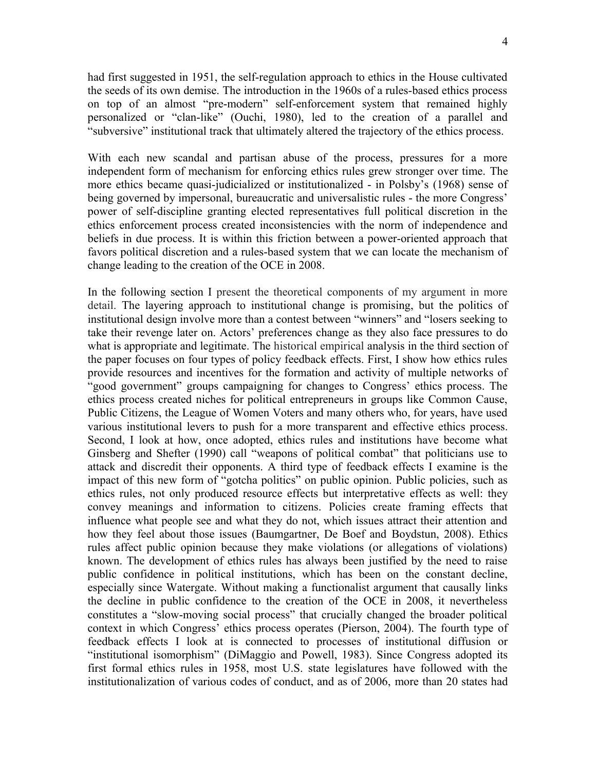had first suggested in 1951, the self-regulation approach to ethics in the House cultivated the seeds of its own demise. The introduction in the 1960s of a rules-based ethics process on top of an almost "pre-modern" self-enforcement system that remained highly personalized or "clan-like" (Ouchi, 1980), led to the creation of a parallel and "subversive" institutional track that ultimately altered the trajectory of the ethics process.

With each new scandal and partisan abuse of the process, pressures for a more independent form of mechanism for enforcing ethics rules grew stronger over time. The more ethics became quasi-judicialized or institutionalized - in Polsby's (1968) sense of being governed by impersonal, bureaucratic and universalistic rules - the more Congress' power of self-discipline granting elected representatives full political discretion in the ethics enforcement process created inconsistencies with the norm of independence and beliefs in due process. It is within this friction between a power-oriented approach that favors political discretion and a rules-based system that we can locate the mechanism of change leading to the creation of the OCE in 2008.

In the following section I present the theoretical components of my argument in more detail. The layering approach to institutional change is promising, but the politics of institutional design involve more than a contest between "winners" and "losers seeking to take their revenge later on. Actors' preferences change as they also face pressures to do what is appropriate and legitimate. The historical empirical analysis in the third section of the paper focuses on four types of policy feedback effects. First, I show how ethics rules provide resources and incentives for the formation and activity of multiple networks of "good government" groups campaigning for changes to Congress' ethics process. The ethics process created niches for political entrepreneurs in groups like Common Cause, Public Citizens, the League of Women Voters and many others who, for years, have used various institutional levers to push for a more transparent and effective ethics process. Second, I look at how, once adopted, ethics rules and institutions have become what Ginsberg and Shefter (1990) call "weapons of political combat" that politicians use to attack and discredit their opponents. A third type of feedback effects I examine is the impact of this new form of "gotcha politics" on public opinion. Public policies, such as ethics rules, not only produced resource effects but interpretative effects as well: they convey meanings and information to citizens. Policies create framing effects that influence what people see and what they do not, which issues attract their attention and how they feel about those issues (Baumgartner, De Boef and Boydstun, 2008). Ethics rules affect public opinion because they make violations (or allegations of violations) known. The development of ethics rules has always been justified by the need to raise public confidence in political institutions, which has been on the constant decline, especially since Watergate. Without making a functionalist argument that causally links the decline in public confidence to the creation of the OCE in 2008, it nevertheless constitutes a "slow-moving social process" that crucially changed the broader political context in which Congress' ethics process operates (Pierson, 2004). The fourth type of feedback effects I look at is connected to processes of institutional diffusion or "institutional isomorphism" (DiMaggio and Powell, 1983). Since Congress adopted its first formal ethics rules in 1958, most U.S. state legislatures have followed with the institutionalization of various codes of conduct, and as of 2006, more than 20 states had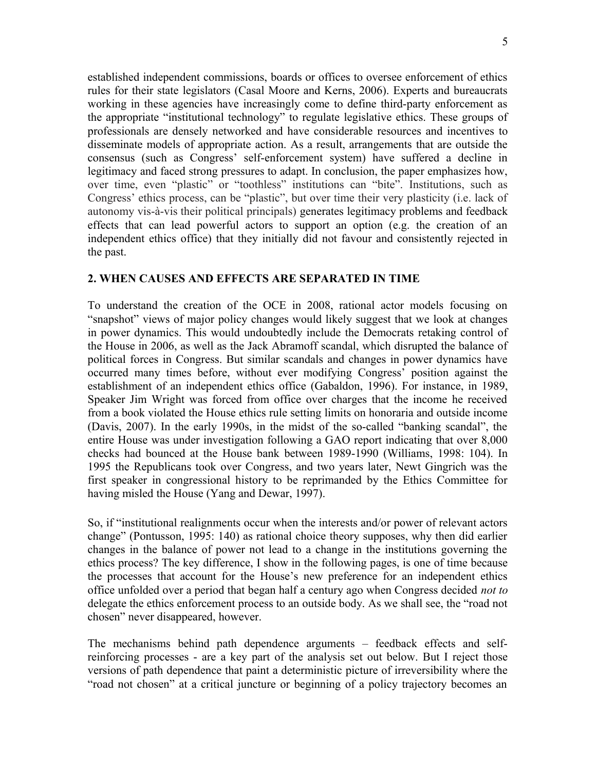established independent commissions, boards or offices to oversee enforcement of ethics rules for their state legislators (Casal Moore and Kerns, 2006). Experts and bureaucrats working in these agencies have increasingly come to define third-party enforcement as the appropriate "institutional technology" to regulate legislative ethics. These groups of professionals are densely networked and have considerable resources and incentives to disseminate models of appropriate action. As a result, arrangements that are outside the consensus (such as Congress' self-enforcement system) have suffered a decline in legitimacy and faced strong pressures to adapt. In conclusion, the paper emphasizes how, over time, even "plastic" or "toothless" institutions can "bite". Institutions, such as Congress' ethics process, can be "plastic", but over time their very plasticity (i.e. lack of autonomy vis-à-vis their political principals) generates legitimacy problems and feedback effects that can lead powerful actors to support an option (e.g. the creation of an independent ethics office) that they initially did not favour and consistently rejected in the past.

# **2. WHEN CAUSES AND EFFECTS ARE SEPARATED IN TIME**

To understand the creation of the OCE in 2008, rational actor models focusing on "snapshot" views of major policy changes would likely suggest that we look at changes in power dynamics. This would undoubtedly include the Democrats retaking control of the House in 2006, as well as the Jack Abramoff scandal, which disrupted the balance of political forces in Congress. But similar scandals and changes in power dynamics have occurred many times before, without ever modifying Congress' position against the establishment of an independent ethics office (Gabaldon, 1996). For instance, in 1989, Speaker Jim Wright was forced from office over charges that the income he received from a book violated the House ethics rule setting limits on honoraria and outside income (Davis, 2007). In the early 1990s, in the midst of the so-called "banking scandal", the entire House was under investigation following a GAO report indicating that over 8,000 checks had bounced at the House bank between 1989-1990 (Williams, 1998: 104). In 1995 the Republicans took over Congress, and two years later, Newt Gingrich was the first speaker in congressional history to be reprimanded by the Ethics Committee for having misled the House (Yang and Dewar, 1997).

So, if "institutional realignments occur when the interests and/or power of relevant actors change" (Pontusson, 1995: 140) as rational choice theory supposes, why then did earlier changes in the balance of power not lead to a change in the institutions governing the ethics process? The key difference, I show in the following pages, is one of time because the processes that account for the House's new preference for an independent ethics office unfolded over a period that began half a century ago when Congress decided *not to* delegate the ethics enforcement process to an outside body. As we shall see, the "road not chosen" never disappeared, however.

The mechanisms behind path dependence arguments – feedback effects and selfreinforcing processes - are a key part of the analysis set out below. But I reject those versions of path dependence that paint a deterministic picture of irreversibility where the "road not chosen" at a critical juncture or beginning of a policy trajectory becomes an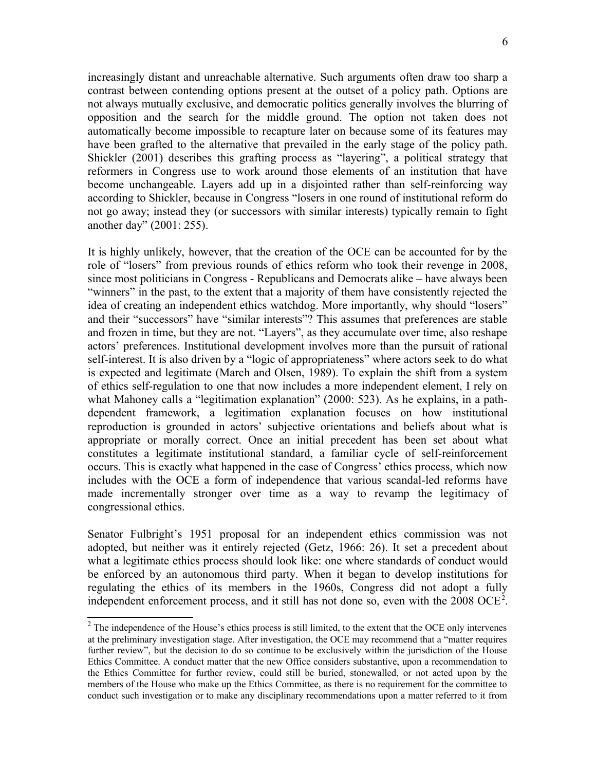increasingly distant and unreachable alternative. Such arguments often draw too sharp a contrast between contending options present at the outset of a policy path. Options are not always mutually exclusive, and democratic politics generally involves the blurring of opposition and the search for the middle ground. The option not taken does not automatically become impossible to recapture later on because some of its features may have been grafted to the alternative that prevailed in the early stage of the policy path. Shickler (2001) describes this grafting process as "layering", a political strategy that reformers in Congress use to work around those elements of an institution that have become unchangeable. Layers add up in a disjointed rather than self-reinforcing way according to Shickler, because in Congress "losers in one round of institutional reform do not go away; instead they (or successors with similar interests) typically remain to fight another day" (2001: 255).

It is highly unlikely, however, that the creation of the OCE can be accounted for by the role of "losers" from previous rounds of ethics reform who took their revenge in 2008, since most politicians in Congress - Republicans and Democrats alike – have always been "winners" in the past, to the extent that a majority of them have consistently rejected the idea of creating an independent ethics watchdog. More importantly, why should "losers" and their "successors" have "similar interests"? This assumes that preferences are stable and frozen in time, but they are not. "Layers", as they accumulate over time, also reshape actors' preferences. Institutional development involves more than the pursuit of rational self-interest. It is also driven by a "logic of appropriateness" where actors seek to do what is expected and legitimate (March and Olsen, 1989). To explain the shift from a system of ethics self-regulation to one that now includes a more independent element, I rely on what Mahoney calls a "legitimation explanation" (2000: 523). As he explains, in a pathdependent framework, a legitimation explanation focuses on how institutional reproduction is grounded in actors' subjective orientations and beliefs about what is appropriate or morally correct. Once an initial precedent has been set about what constitutes a legitimate institutional standard, a familiar cycle of self-reinforcement occurs. This is exactly what happened in the case of Congress' ethics process, which now includes with the OCE a form of independence that various scandal-led reforms have made incrementally stronger over time as a way to revamp the legitimacy of congressional ethics.

Senator Fulbright's 1951 proposal for an independent ethics commission was not adopted, but neither was it entirely rejected (Getz, 1966: 26). It set a precedent about what a legitimate ethics process should look like: one where standards of conduct would be enforced by an autonomous third party. When it began to develop institutions for regulating the ethics of its members in the 1960s, Congress did not adopt a fully independent enforcement process, and it still has not done so, even with the [2](#page-5-0)008 OCE<sup>2</sup>.

<span id="page-5-0"></span> $2^2$  The independence of the House's ethics process is still limited, to the extent that the OCE only intervenes at the preliminary investigation stage. After investigation, the OCE may recommend that a "matter requires further review", but the decision to do so continue to be exclusively within the jurisdiction of the House Ethics Committee. A conduct matter that the new Office considers substantive, upon a recommendation to the Ethics Committee for further review, could still be buried, stonewalled, or not acted upon by the members of the House who make up the Ethics Committee, as there is no requirement for the committee to conduct such investigation or to make any disciplinary recommendations upon a matter referred to it from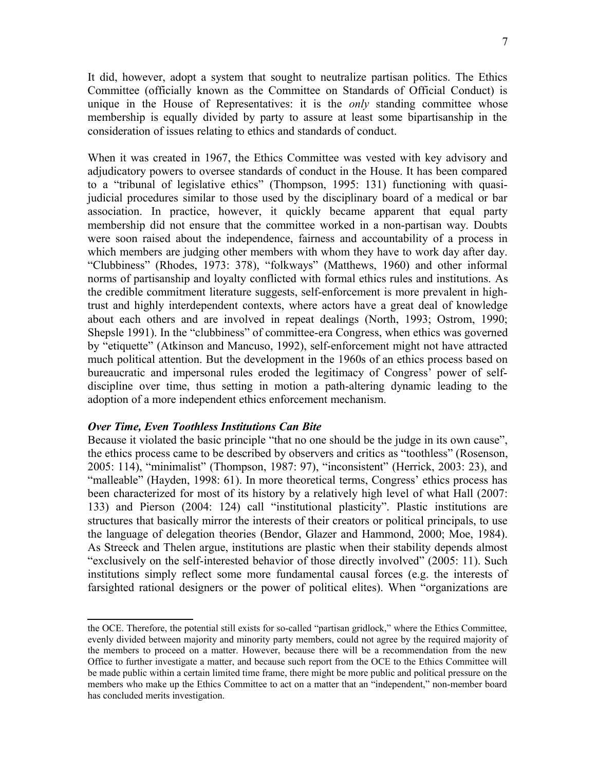It did, however, adopt a system that sought to neutralize partisan politics. The Ethics Committee (officially known as the Committee on Standards of Official Conduct) is unique in the House of Representatives: it is the *only* standing committee whose membership is equally divided by party to assure at least some bipartisanship in the consideration of issues relating to ethics and standards of conduct.

When it was created in 1967, the Ethics Committee was vested with key advisory and adjudicatory powers to oversee standards of conduct in the House. It has been compared to a "tribunal of legislative ethics" (Thompson, 1995: 131) functioning with quasijudicial procedures similar to those used by the disciplinary board of a medical or bar association. In practice, however, it quickly became apparent that equal party membership did not ensure that the committee worked in a non-partisan way. Doubts were soon raised about the independence, fairness and accountability of a process in which members are judging other members with whom they have to work day after day. "Clubbiness" (Rhodes, 1973: 378), "folkways" (Matthews, 1960) and other informal norms of partisanship and loyalty conflicted with formal ethics rules and institutions. As the credible commitment literature suggests, self-enforcement is more prevalent in hightrust and highly interdependent contexts, where actors have a great deal of knowledge about each others and are involved in repeat dealings (North, 1993; Ostrom, 1990; Shepsle 1991). In the "clubbiness" of committee-era Congress, when ethics was governed by "etiquette" (Atkinson and Mancuso, 1992), self-enforcement might not have attracted much political attention. But the development in the 1960s of an ethics process based on bureaucratic and impersonal rules eroded the legitimacy of Congress' power of selfdiscipline over time, thus setting in motion a path-altering dynamic leading to the adoption of a more independent ethics enforcement mechanism.

#### *Over Time, Even Toothless Institutions Can Bite*

Because it violated the basic principle "that no one should be the judge in its own cause", the ethics process came to be described by observers and critics as "toothless" (Rosenson, 2005: 114), "minimalist" (Thompson, 1987: 97), "inconsistent" (Herrick, 2003: 23), and "malleable" (Hayden, 1998: 61). In more theoretical terms, Congress' ethics process has been characterized for most of its history by a relatively high level of what Hall (2007: 133) and Pierson (2004: 124) call "institutional plasticity". Plastic institutions are structures that basically mirror the interests of their creators or political principals, to use the language of delegation theories (Bendor, Glazer and Hammond, 2000; Moe, 1984). As Streeck and Thelen argue, institutions are plastic when their stability depends almost "exclusively on the self-interested behavior of those directly involved" (2005: 11). Such institutions simply reflect some more fundamental causal forces (e.g. the interests of farsighted rational designers or the power of political elites). When "organizations are

the OCE. Therefore, the potential still exists for so-called "partisan gridlock," where the Ethics Committee, evenly divided between majority and minority party members, could not agree by the required majority of the members to proceed on a matter. However, because there will be a recommendation from the new Office to further investigate a matter, and because such report from the OCE to the Ethics Committee will be made public within a certain limited time frame, there might be more public and political pressure on the members who make up the Ethics Committee to act on a matter that an "independent," non-member board has concluded merits investigation.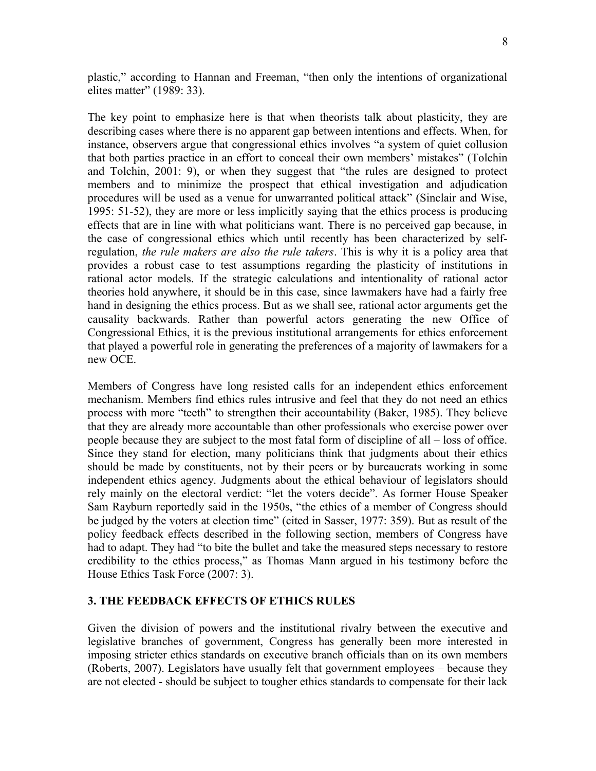plastic," according to Hannan and Freeman, "then only the intentions of organizational elites matter" (1989: 33).

The key point to emphasize here is that when theorists talk about plasticity, they are describing cases where there is no apparent gap between intentions and effects. When, for instance, observers argue that congressional ethics involves "a system of quiet collusion that both parties practice in an effort to conceal their own members' mistakes" (Tolchin and Tolchin, 2001: 9), or when they suggest that "the rules are designed to protect members and to minimize the prospect that ethical investigation and adjudication procedures will be used as a venue for unwarranted political attack" (Sinclair and Wise, 1995: 51-52), they are more or less implicitly saying that the ethics process is producing effects that are in line with what politicians want. There is no perceived gap because, in the case of congressional ethics which until recently has been characterized by selfregulation, *the rule makers are also the rule takers*. This is why it is a policy area that provides a robust case to test assumptions regarding the plasticity of institutions in rational actor models. If the strategic calculations and intentionality of rational actor theories hold anywhere, it should be in this case, since lawmakers have had a fairly free hand in designing the ethics process. But as we shall see, rational actor arguments get the causality backwards. Rather than powerful actors generating the new Office of Congressional Ethics, it is the previous institutional arrangements for ethics enforcement that played a powerful role in generating the preferences of a majority of lawmakers for a new OCE.

Members of Congress have long resisted calls for an independent ethics enforcement mechanism. Members find ethics rules intrusive and feel that they do not need an ethics process with more "teeth" to strengthen their accountability (Baker, 1985). They believe that they are already more accountable than other professionals who exercise power over people because they are subject to the most fatal form of discipline of all – loss of office. Since they stand for election, many politicians think that judgments about their ethics should be made by constituents, not by their peers or by bureaucrats working in some independent ethics agency. Judgments about the ethical behaviour of legislators should rely mainly on the electoral verdict: "let the voters decide". As former House Speaker Sam Rayburn reportedly said in the 1950s, "the ethics of a member of Congress should be judged by the voters at election time" (cited in Sasser, 1977: 359). But as result of the policy feedback effects described in the following section, members of Congress have had to adapt. They had "to bite the bullet and take the measured steps necessary to restore credibility to the ethics process," as Thomas Mann argued in his testimony before the House Ethics Task Force (2007: 3).

### **3. THE FEEDBACK EFFECTS OF ETHICS RULES**

Given the division of powers and the institutional rivalry between the executive and legislative branches of government, Congress has generally been more interested in imposing stricter ethics standards on executive branch officials than on its own members (Roberts, 2007). Legislators have usually felt that government employees – because they are not elected - should be subject to tougher ethics standards to compensate for their lack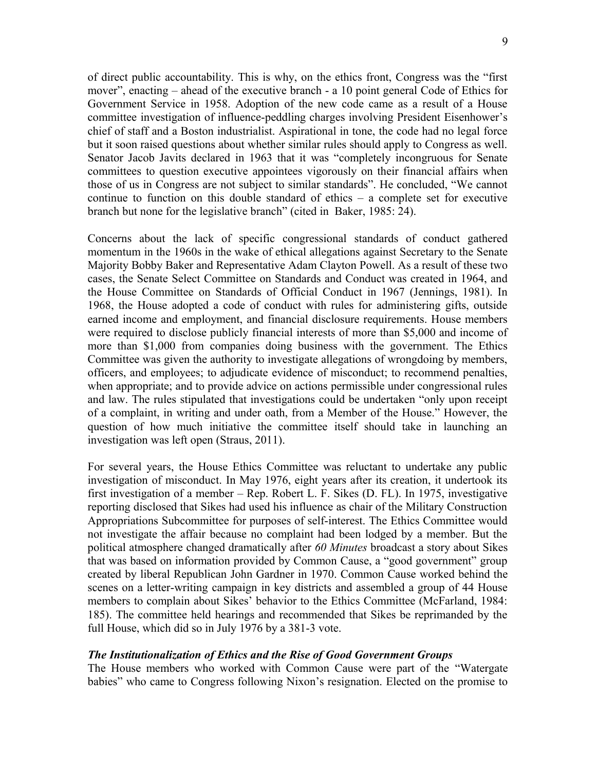of direct public accountability. This is why, on the ethics front, Congress was the "first mover", enacting – ahead of the executive branch - a 10 point general Code of Ethics for Government Service in 1958. Adoption of the new code came as a result of a House committee investigation of influence-peddling charges involving President Eisenhower's chief of staff and a Boston industrialist. Aspirational in tone, the code had no legal force but it soon raised questions about whether similar rules should apply to Congress as well. Senator Jacob Javits declared in 1963 that it was "completely incongruous for Senate committees to question executive appointees vigorously on their financial affairs when those of us in Congress are not subject to similar standards". He concluded, "We cannot continue to function on this double standard of ethics – a complete set for executive branch but none for the legislative branch" (cited in Baker, 1985: 24).

Concerns about the lack of specific congressional standards of conduct gathered momentum in the 1960s in the wake of ethical allegations against Secretary to the Senate Majority Bobby Baker and Representative Adam Clayton Powell. As a result of these two cases, the Senate Select Committee on Standards and Conduct was created in 1964, and the House Committee on Standards of Official Conduct in 1967 (Jennings, 1981). In 1968, the House adopted a code of conduct with rules for administering gifts, outside earned income and employment, and financial disclosure requirements. House members were required to disclose publicly financial interests of more than \$5,000 and income of more than \$1,000 from companies doing business with the government. The Ethics Committee was given the authority to investigate allegations of wrongdoing by members, officers, and employees; to adjudicate evidence of misconduct; to recommend penalties, when appropriate; and to provide advice on actions permissible under congressional rules and law. The rules stipulated that investigations could be undertaken "only upon receipt of a complaint, in writing and under oath, from a Member of the House." However, the question of how much initiative the committee itself should take in launching an investigation was left open (Straus, 2011).

For several years, the House Ethics Committee was reluctant to undertake any public investigation of misconduct. In May 1976, eight years after its creation, it undertook its first investigation of a member – Rep. Robert L. F. Sikes (D. FL). In 1975, investigative reporting disclosed that Sikes had used his influence as chair of the Military Construction Appropriations Subcommittee for purposes of self-interest. The Ethics Committee would not investigate the affair because no complaint had been lodged by a member. But the political atmosphere changed dramatically after *60 Minutes* broadcast a story about Sikes that was based on information provided by Common Cause, a "good government" group created by liberal Republican John Gardner in 1970. Common Cause worked behind the scenes on a letter-writing campaign in key districts and assembled a group of 44 House members to complain about Sikes' behavior to the Ethics Committee (McFarland, 1984: 185). The committee held hearings and recommended that Sikes be reprimanded by the full House, which did so in July 1976 by a 381-3 vote.

### *The Institutionalization of Ethics and the Rise of Good Government Groups*

The House members who worked with Common Cause were part of the "Watergate babies" who came to Congress following Nixon's resignation. Elected on the promise to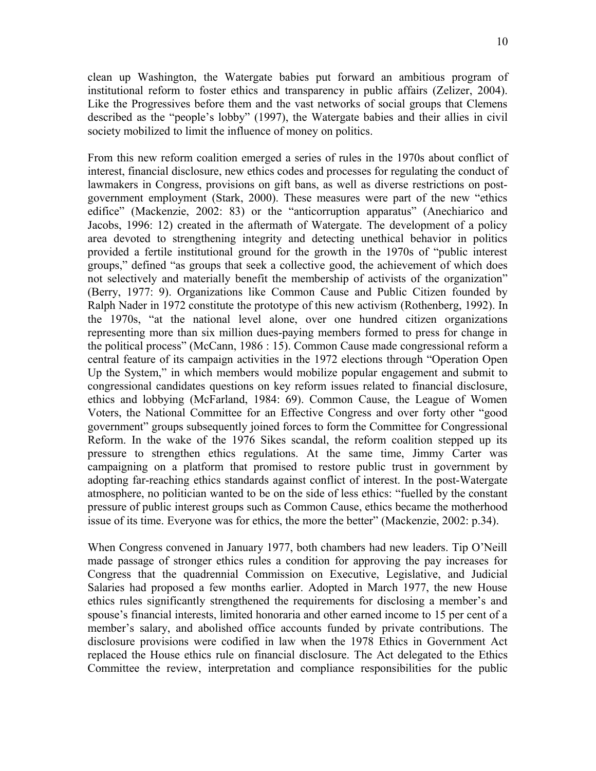clean up Washington, the Watergate babies put forward an ambitious program of institutional reform to foster ethics and transparency in public affairs (Zelizer, 2004). Like the Progressives before them and the vast networks of social groups that Clemens described as the "people's lobby" (1997), the Watergate babies and their allies in civil society mobilized to limit the influence of money on politics.

From this new reform coalition emerged a series of rules in the 1970s about conflict of interest, financial disclosure, new ethics codes and processes for regulating the conduct of lawmakers in Congress, provisions on gift bans, as well as diverse restrictions on postgovernment employment (Stark, 2000). These measures were part of the new "ethics edifice" (Mackenzie, 2002: 83) or the "anticorruption apparatus" (Anechiarico and Jacobs, 1996: 12) created in the aftermath of Watergate. The development of a policy area devoted to strengthening integrity and detecting unethical behavior in politics provided a fertile institutional ground for the growth in the 1970s of "public interest groups," defined "as groups that seek a collective good, the achievement of which does not selectively and materially benefit the membership of activists of the organization" (Berry, 1977: 9). Organizations like Common Cause and Public Citizen founded by Ralph Nader in 1972 constitute the prototype of this new activism (Rothenberg, 1992). In the 1970s, "at the national level alone, over one hundred citizen organizations representing more than six million dues-paying members formed to press for change in the political process" (McCann, 1986 : 15). Common Cause made congressional reform a central feature of its campaign activities in the 1972 elections through "Operation Open Up the System," in which members would mobilize popular engagement and submit to congressional candidates questions on key reform issues related to financial disclosure, ethics and lobbying (McFarland, 1984: 69). Common Cause, the League of Women Voters, the National Committee for an Effective Congress and over forty other "good government" groups subsequently joined forces to form the Committee for Congressional Reform. In the wake of the 1976 Sikes scandal, the reform coalition stepped up its pressure to strengthen ethics regulations. At the same time, Jimmy Carter was campaigning on a platform that promised to restore public trust in government by adopting far-reaching ethics standards against conflict of interest. In the post-Watergate atmosphere, no politician wanted to be on the side of less ethics: "fuelled by the constant pressure of public interest groups such as Common Cause, ethics became the motherhood issue of its time. Everyone was for ethics, the more the better" (Mackenzie, 2002: p.34).

When Congress convened in January 1977, both chambers had new leaders. Tip O'Neill made passage of stronger ethics rules a condition for approving the pay increases for Congress that the quadrennial Commission on Executive, Legislative, and Judicial Salaries had proposed a few months earlier. Adopted in March 1977, the new House ethics rules significantly strengthened the requirements for disclosing a member's and spouse's financial interests, limited honoraria and other earned income to 15 per cent of a member's salary, and abolished office accounts funded by private contributions. The disclosure provisions were codified in law when the 1978 Ethics in Government Act replaced the House ethics rule on financial disclosure. The Act delegated to the Ethics Committee the review, interpretation and compliance responsibilities for the public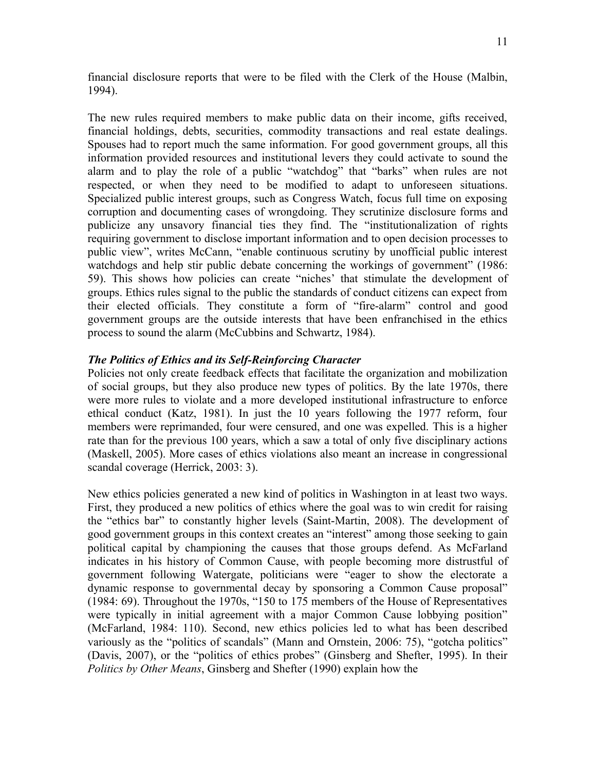financial disclosure reports that were to be filed with the Clerk of the House (Malbin, 1994).

The new rules required members to make public data on their income, gifts received, financial holdings, debts, securities, commodity transactions and real estate dealings. Spouses had to report much the same information. For good government groups, all this information provided resources and institutional levers they could activate to sound the alarm and to play the role of a public "watchdog" that "barks" when rules are not respected, or when they need to be modified to adapt to unforeseen situations. Specialized public interest groups, such as Congress Watch, focus full time on exposing corruption and documenting cases of wrongdoing. They scrutinize disclosure forms and publicize any unsavory financial ties they find. The "institutionalization of rights requiring government to disclose important information and to open decision processes to public view", writes McCann, "enable continuous scrutiny by unofficial public interest watchdogs and help stir public debate concerning the workings of government" (1986: 59). This shows how policies can create "niches' that stimulate the development of groups. Ethics rules signal to the public the standards of conduct citizens can expect from their elected officials. They constitute a form of "fire-alarm" control and good government groups are the outside interests that have been enfranchised in the ethics process to sound the alarm (McCubbins and Schwartz, 1984).

# *The Politics of Ethics and its Self-Reinforcing Character*

Policies not only create feedback effects that facilitate the organization and mobilization of social groups, but they also produce new types of politics. By the late 1970s, there were more rules to violate and a more developed institutional infrastructure to enforce ethical conduct (Katz, 1981). In just the 10 years following the 1977 reform, four members were reprimanded, four were censured, and one was expelled. This is a higher rate than for the previous 100 years, which a saw a total of only five disciplinary actions (Maskell, 2005). More cases of ethics violations also meant an increase in congressional scandal coverage (Herrick, 2003: 3).

New ethics policies generated a new kind of politics in Washington in at least two ways. First, they produced a new politics of ethics where the goal was to win credit for raising the "ethics bar" to constantly higher levels (Saint-Martin, 2008). The development of good government groups in this context creates an "interest" among those seeking to gain political capital by championing the causes that those groups defend. As McFarland indicates in his history of Common Cause, with people becoming more distrustful of government following Watergate, politicians were "eager to show the electorate a dynamic response to governmental decay by sponsoring a Common Cause proposal" (1984: 69). Throughout the 1970s, "150 to 175 members of the House of Representatives were typically in initial agreement with a major Common Cause lobbying position" (McFarland, 1984: 110). Second, new ethics policies led to what has been described variously as the "politics of scandals" (Mann and Ornstein, 2006: 75), "gotcha politics" (Davis, 2007), or the "politics of ethics probes" (Ginsberg and Shefter, 1995). In their *Politics by Other Means*, Ginsberg and Shefter (1990) explain how the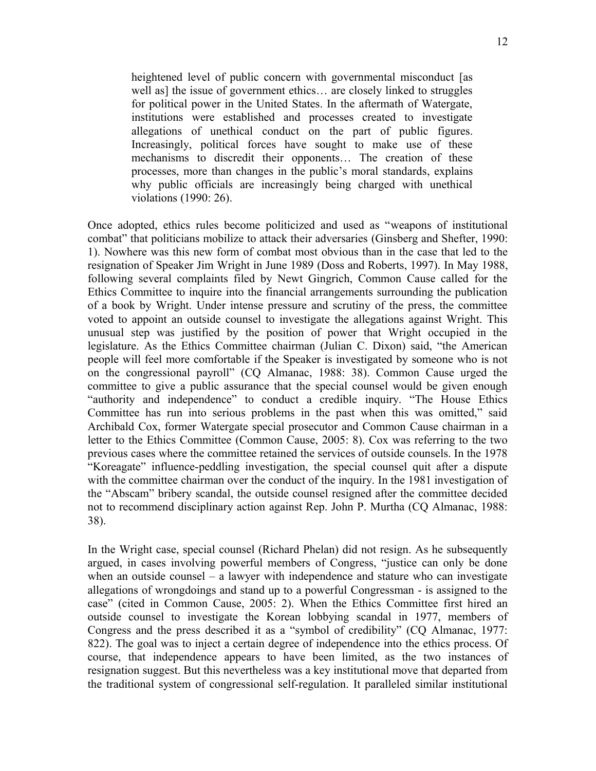heightened level of public concern with governmental misconduct [as well as] the issue of government ethics... are closely linked to struggles for political power in the United States. In the aftermath of Watergate, institutions were established and processes created to investigate allegations of unethical conduct on the part of public figures. Increasingly, political forces have sought to make use of these mechanisms to discredit their opponents… The creation of these processes, more than changes in the public's moral standards, explains why public officials are increasingly being charged with unethical violations (1990: 26).

Once adopted, ethics rules become politicized and used as "weapons of institutional combat" that politicians mobilize to attack their adversaries (Ginsberg and Shefter, 1990: 1). Nowhere was this new form of combat most obvious than in the case that led to the resignation of Speaker Jim Wright in June 1989 (Doss and Roberts, 1997). In May 1988, following several complaints filed by Newt Gingrich, Common Cause called for the Ethics Committee to inquire into the financial arrangements surrounding the publication of a book by Wright. Under intense pressure and scrutiny of the press, the committee voted to appoint an outside counsel to investigate the allegations against Wright. This unusual step was justified by the position of power that Wright occupied in the legislature. As the Ethics Committee chairman (Julian C. Dixon) said, "the American people will feel more comfortable if the Speaker is investigated by someone who is not on the congressional payroll" (CQ Almanac, 1988: 38). Common Cause urged the committee to give a public assurance that the special counsel would be given enough "authority and independence" to conduct a credible inquiry. "The House Ethics Committee has run into serious problems in the past when this was omitted," said Archibald Cox, former Watergate special prosecutor and Common Cause chairman in a letter to the Ethics Committee (Common Cause, 2005: 8). Cox was referring to the two previous cases where the committee retained the services of outside counsels. In the 1978 "Koreagate" influence-peddling investigation, the special counsel quit after a dispute with the committee chairman over the conduct of the inquiry. In the 1981 investigation of the "Abscam" bribery scandal, the outside counsel resigned after the committee decided not to recommend disciplinary action against Rep. John P. Murtha (CQ Almanac, 1988: 38).

In the Wright case, special counsel (Richard Phelan) did not resign. As he subsequently argued, in cases involving powerful members of Congress, "justice can only be done when an outside counsel – a lawyer with independence and stature who can investigate allegations of wrongdoings and stand up to a powerful Congressman - is assigned to the case" (cited in Common Cause, 2005: 2). When the Ethics Committee first hired an outside counsel to investigate the Korean lobbying scandal in 1977, members of Congress and the press described it as a "symbol of credibility" (CQ Almanac, 1977: 822). The goal was to inject a certain degree of independence into the ethics process. Of course, that independence appears to have been limited, as the two instances of resignation suggest. But this nevertheless was a key institutional move that departed from the traditional system of congressional self-regulation. It paralleled similar institutional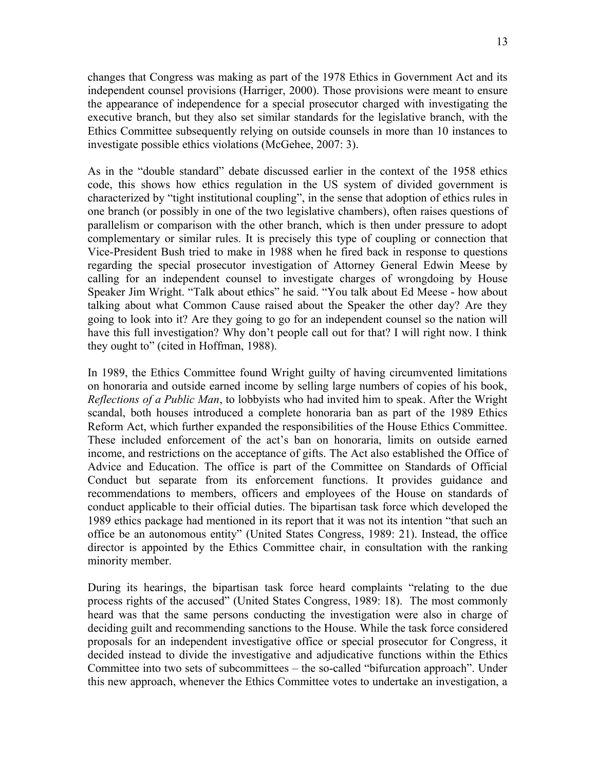changes that Congress was making as part of the 1978 Ethics in Government Act and its independent counsel provisions (Harriger, 2000). Those provisions were meant to ensure the appearance of independence for a special prosecutor charged with investigating the executive branch, but they also set similar standards for the legislative branch, with the Ethics Committee subsequently relying on outside counsels in more than 10 instances to investigate possible ethics violations (McGehee, 2007: 3).

As in the "double standard" debate discussed earlier in the context of the 1958 ethics code, this shows how ethics regulation in the US system of divided government is characterized by "tight institutional coupling", in the sense that adoption of ethics rules in one branch (or possibly in one of the two legislative chambers), often raises questions of parallelism or comparison with the other branch, which is then under pressure to adopt complementary or similar rules. It is precisely this type of coupling or connection that Vice-President Bush tried to make in 1988 when he fired back in response to questions regarding the special prosecutor investigation of Attorney General Edwin Meese by calling for an independent counsel to investigate charges of wrongdoing by House Speaker Jim Wright. "Talk about ethics" he said. "You talk about Ed Meese - how about talking about what Common Cause raised about the Speaker the other day? Are they going to look into it? Are they going to go for an independent counsel so the nation will have this full investigation? Why don't people call out for that? I will right now. I think they ought to" (cited in Hoffman, 1988).

In 1989, the Ethics Committee found Wright guilty of having circumvented limitations on honoraria and outside earned income by selling large numbers of copies of his book, *Reflections of a Public Man*, to lobbyists who had invited him to speak. After the Wright scandal, both houses introduced a complete honoraria ban as part of the 1989 Ethics Reform Act, which further expanded the responsibilities of the House Ethics Committee. These included enforcement of the act's ban on honoraria, limits on outside earned income, and restrictions on the acceptance of gifts. The Act also established the Office of Advice and Education. The office is part of the Committee on Standards of Official Conduct but separate from its enforcement functions. It provides guidance and recommendations to members, officers and employees of the House on standards of conduct applicable to their official duties. The bipartisan task force which developed the 1989 ethics package had mentioned in its report that it was not its intention "that such an office be an autonomous entity" (United States Congress, 1989: 21). Instead, the office director is appointed by the Ethics Committee chair, in consultation with the ranking minority member.

During its hearings, the bipartisan task force heard complaints "relating to the due process rights of the accused" (United States Congress, 1989: 18). The most commonly heard was that the same persons conducting the investigation were also in charge of deciding guilt and recommending sanctions to the House. While the task force considered proposals for an independent investigative office or special prosecutor for Congress, it decided instead to divide the investigative and adjudicative functions within the Ethics Committee into two sets of subcommittees – the so-called "bifurcation approach". Under this new approach, whenever the Ethics Committee votes to undertake an investigation, a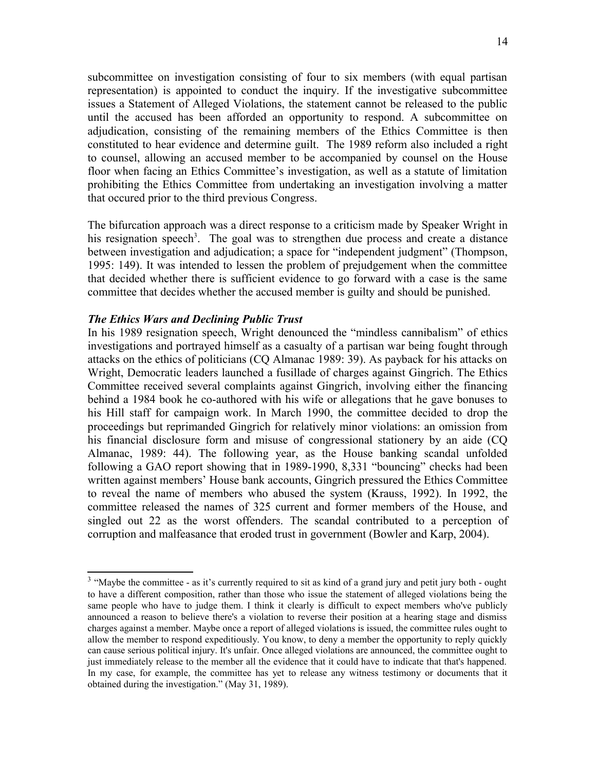subcommittee on investigation consisting of four to six members (with equal partisan representation) is appointed to conduct the inquiry. If the investigative subcommittee issues a Statement of Alleged Violations, the statement cannot be released to the public until the accused has been afforded an opportunity to respond. A subcommittee on adjudication, consisting of the remaining members of the Ethics Committee is then constituted to hear evidence and determine guilt. The 1989 reform also included a right to counsel, allowing an accused member to be accompanied by counsel on the House floor when facing an Ethics Committee's investigation, as well as a statute of limitation prohibiting the Ethics Committee from undertaking an investigation involving a matter that occured prior to the third previous Congress.

The bifurcation approach was a direct response to a criticism made by Speaker Wright in his resignation speech<sup>[3](#page-13-0)</sup>. The goal was to strengthen due process and create a distance between investigation and adjudication; a space for "independent judgment" (Thompson, 1995: 149). It was intended to lessen the problem of prejudgement when the committee that decided whether there is sufficient evidence to go forward with a case is the same committee that decides whether the accused member is guilty and should be punished.

#### *The Ethics Wars and Declining Public Trust*

In his 1989 resignation speech, Wright denounced the "mindless cannibalism" of ethics investigations and portrayed himself as a casualty of a partisan war being fought through attacks on the ethics of politicians (CQ Almanac 1989: 39). As payback for his attacks on Wright, Democratic leaders launched a fusillade of charges against Gingrich. The Ethics Committee received several complaints against Gingrich, involving either the financing behind a 1984 book he co-authored with his wife or allegations that he gave bonuses to his Hill staff for campaign work. In March 1990, the committee decided to drop the proceedings but reprimanded Gingrich for relatively minor violations: an omission from his financial disclosure form and misuse of congressional stationery by an aide (CQ Almanac, 1989: 44). The following year, as the House banking scandal unfolded following a GAO report showing that in 1989-1990, 8,331 "bouncing" checks had been written against members' House bank accounts, Gingrich pressured the Ethics Committee to reveal the name of members who abused the system (Krauss, 1992). In 1992, the committee released the names of 325 current and former members of the House, and singled out 22 as the worst offenders. The scandal contributed to a perception of corruption and malfeasance that eroded trust in government (Bowler and Karp, 2004).

<span id="page-13-0"></span> $3$  "Maybe the committee - as it's currently required to sit as kind of a grand jury and petit jury both - ought to have a different composition, rather than those who issue the statement of alleged violations being the same people who have to judge them. I think it clearly is difficult to expect members who've publicly announced a reason to believe there's a violation to reverse their position at a hearing stage and dismiss charges against a member. Maybe once a report of alleged violations is issued, the committee rules ought to allow the member to respond expeditiously. You know, to deny a member the opportunity to reply quickly can cause serious political injury. It's unfair. Once alleged violations are announced, the committee ought to just immediately release to the member all the evidence that it could have to indicate that that's happened. In my case, for example, the committee has yet to release any witness testimony or documents that it obtained during the investigation." (May 31, 1989).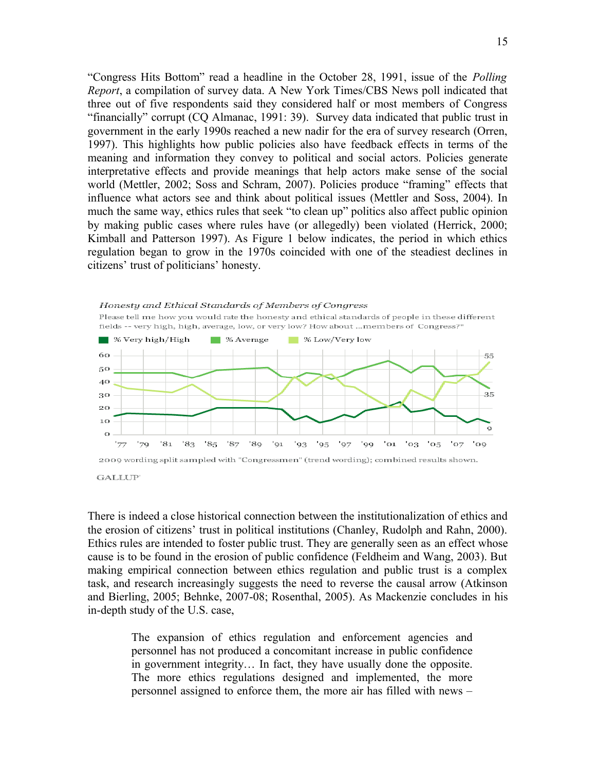"Congress Hits Bottom" read a headline in the October 28, 1991, issue of the *Polling Report*, a compilation of survey data. A New York Times/CBS News poll indicated that three out of five respondents said they considered half or most members of Congress "financially" corrupt (CQ Almanac, 1991: 39). Survey data indicated that public trust in government in the early 1990s reached a new nadir for the era of survey research (Orren, 1997). This highlights how public policies also have feedback effects in terms of the meaning and information they convey to political and social actors. Policies generate interpretative effects and provide meanings that help actors make sense of the social world (Mettler, 2002; Soss and Schram, 2007). Policies produce "framing" effects that influence what actors see and think about political issues (Mettler and Soss, 2004). In much the same way, ethics rules that seek "to clean up" politics also affect public opinion by making public cases where rules have (or allegedly) been violated (Herrick, 2000; Kimball and Patterson 1997). As Figure 1 below indicates, the period in which ethics regulation began to grow in the 1970s coincided with one of the steadiest declines in citizens' trust of politicians' honesty.





There is indeed a close historical connection between the institutionalization of ethics and the erosion of citizens' trust in political institutions (Chanley, Rudolph and Rahn, 2000). Ethics rules are intended to foster public trust. They are generally seen as an effect whose cause is to be found in the erosion of public confidence (Feldheim and Wang, 2003). But making empirical connection between ethics regulation and public trust is a complex task, and research increasingly suggests the need to reverse the causal arrow (Atkinson and Bierling, 2005; Behnke, 2007-08; Rosenthal, 2005). As Mackenzie concludes in his in-depth study of the U.S. case,

> The expansion of ethics regulation and enforcement agencies and personnel has not produced a concomitant increase in public confidence in government integrity… In fact, they have usually done the opposite. The more ethics regulations designed and implemented, the more personnel assigned to enforce them, the more air has filled with news –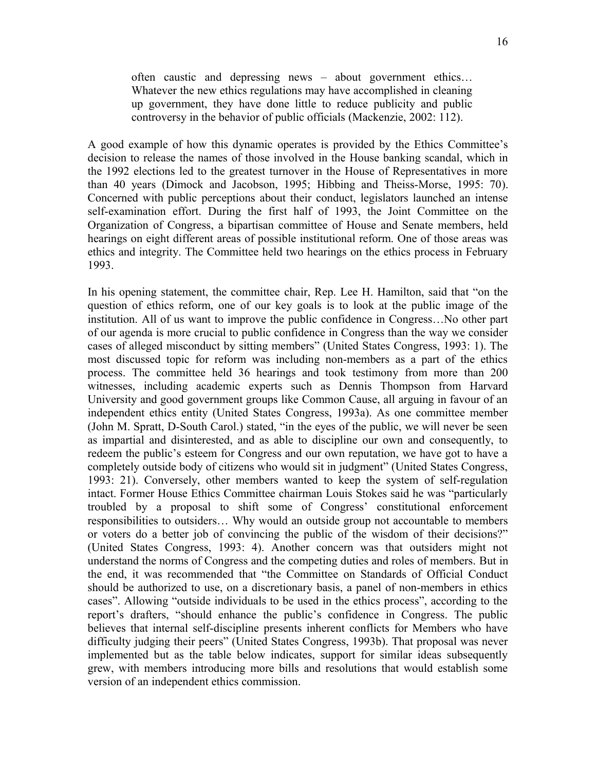often caustic and depressing news – about government ethics… Whatever the new ethics regulations may have accomplished in cleaning up government, they have done little to reduce publicity and public controversy in the behavior of public officials (Mackenzie, 2002: 112).

A good example of how this dynamic operates is provided by the Ethics Committee's decision to release the names of those involved in the House banking scandal, which in the 1992 elections led to the greatest turnover in the House of Representatives in more than 40 years (Dimock and Jacobson, 1995; Hibbing and Theiss-Morse, 1995: 70). Concerned with public perceptions about their conduct, legislators launched an intense self-examination effort. During the first half of 1993, the Joint Committee on the Organization of Congress, a bipartisan committee of House and Senate members, held hearings on eight different areas of possible institutional reform. One of those areas was ethics and integrity. The Committee held two hearings on the ethics process in February 1993.

In his opening statement, the committee chair, Rep. Lee H. Hamilton, said that "on the question of ethics reform, one of our key goals is to look at the public image of the institution. All of us want to improve the public confidence in Congress…No other part of our agenda is more crucial to public confidence in Congress than the way we consider cases of alleged misconduct by sitting members" (United States Congress, 1993: 1). The most discussed topic for reform was including non-members as a part of the ethics process. The committee held 36 hearings and took testimony from more than 200 witnesses, including academic experts such as Dennis Thompson from Harvard University and good government groups like Common Cause, all arguing in favour of an independent ethics entity (United States Congress, 1993a). As one committee member (John M. Spratt, D-South Carol.) stated, "in the eyes of the public, we will never be seen as impartial and disinterested, and as able to discipline our own and consequently, to redeem the public's esteem for Congress and our own reputation, we have got to have a completely outside body of citizens who would sit in judgment" (United States Congress, 1993: 21). Conversely, other members wanted to keep the system of self-regulation intact. Former House Ethics Committee chairman Louis Stokes said he was "particularly troubled by a proposal to shift some of Congress' constitutional enforcement responsibilities to outsiders… Why would an outside group not accountable to members or voters do a better job of convincing the public of the wisdom of their decisions?" (United States Congress, 1993: 4). Another concern was that outsiders might not understand the norms of Congress and the competing duties and roles of members. But in the end, it was recommended that "the Committee on Standards of Official Conduct should be authorized to use, on a discretionary basis, a panel of non-members in ethics cases". Allowing "outside individuals to be used in the ethics process", according to the report's drafters, "should enhance the public's confidence in Congress. The public believes that internal self-discipline presents inherent conflicts for Members who have difficulty judging their peers" (United States Congress, 1993b). That proposal was never implemented but as the table below indicates, support for similar ideas subsequently grew, with members introducing more bills and resolutions that would establish some version of an independent ethics commission.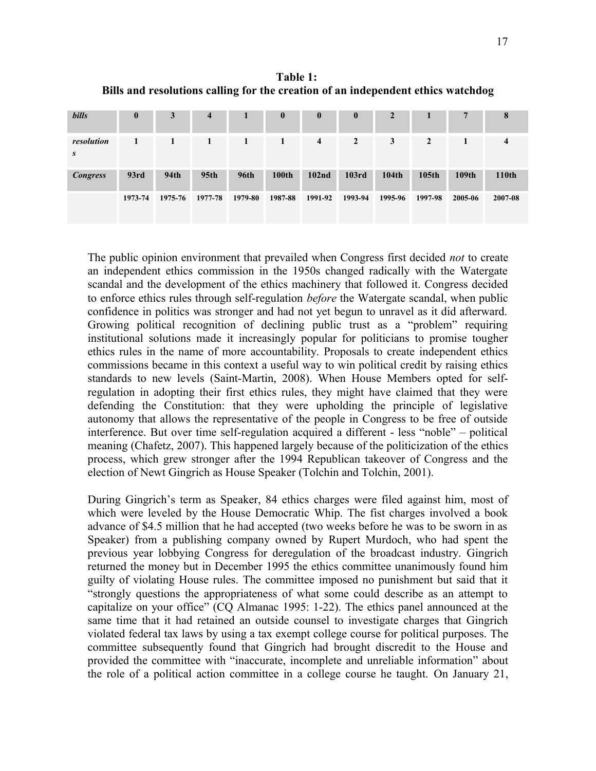**Table 1: Bills and resolutions calling for the creation of an independent ethics watchdog**

| <b>bills</b>    | $\boldsymbol{0}$ | 3       | $\overline{4}$   |             | $\bf{0}$     | $\bf{0}$          | $\bf{0}$       | $\mathbf{2}$ |                   | 7       | 8            |
|-----------------|------------------|---------|------------------|-------------|--------------|-------------------|----------------|--------------|-------------------|---------|--------------|
| resolution<br>S |                  |         | 1                | 1           | 1            | $\overline{4}$    | $\overline{2}$ | 3            | 2                 |         | 4            |
| <b>Congress</b> | 93rd             | 94th    | 95 <sub>th</sub> | <b>96th</b> | <b>100th</b> | 102 <sub>nd</sub> | 103rd          | 104th        | 105 <sub>th</sub> | 109th   | <b>110th</b> |
|                 | 1973-74          | 1975-76 | 1977-78          | 1979-80     | 1987-88      | 1991-92           | 1993-94        | 1995-96      | 1997-98           | 2005-06 | 2007-08      |

The public opinion environment that prevailed when Congress first decided *not* to create an independent ethics commission in the 1950s changed radically with the Watergate scandal and the development of the ethics machinery that followed it. Congress decided to enforce ethics rules through self-regulation *before* the Watergate scandal, when public confidence in politics was stronger and had not yet begun to unravel as it did afterward. Growing political recognition of declining public trust as a "problem" requiring institutional solutions made it increasingly popular for politicians to promise tougher ethics rules in the name of more accountability. Proposals to create independent ethics commissions became in this context a useful way to win political credit by raising ethics standards to new levels (Saint-Martin, 2008). When House Members opted for selfregulation in adopting their first ethics rules, they might have claimed that they were defending the Constitution: that they were upholding the principle of legislative autonomy that allows the representative of the people in Congress to be free of outside interference. But over time self-regulation acquired a different - less "noble" – political meaning (Chafetz, 2007). This happened largely because of the politicization of the ethics process, which grew stronger after the 1994 Republican takeover of Congress and the election of Newt Gingrich as House Speaker (Tolchin and Tolchin, 2001).

During Gingrich's term as Speaker, 84 ethics charges were filed against him, most of which were leveled by the House Democratic Whip. The fist charges involved a book advance of \$4.5 million that he had accepted (two weeks before he was to be sworn in as Speaker) from a publishing company owned by Rupert Murdoch, who had spent the previous year lobbying Congress for deregulation of the broadcast industry. Gingrich returned the money but in December 1995 the ethics committee unanimously found him guilty of violating House rules. The committee imposed no punishment but said that it "strongly questions the appropriateness of what some could describe as an attempt to capitalize on your office" (CQ Almanac 1995: 1-22). The ethics panel announced at the same time that it had retained an outside counsel to investigate charges that Gingrich violated federal tax laws by using a tax exempt college course for political purposes. The committee subsequently found that Gingrich had brought discredit to the House and provided the committee with "inaccurate, incomplete and unreliable information" about the role of a political action committee in a college course he taught. On January 21,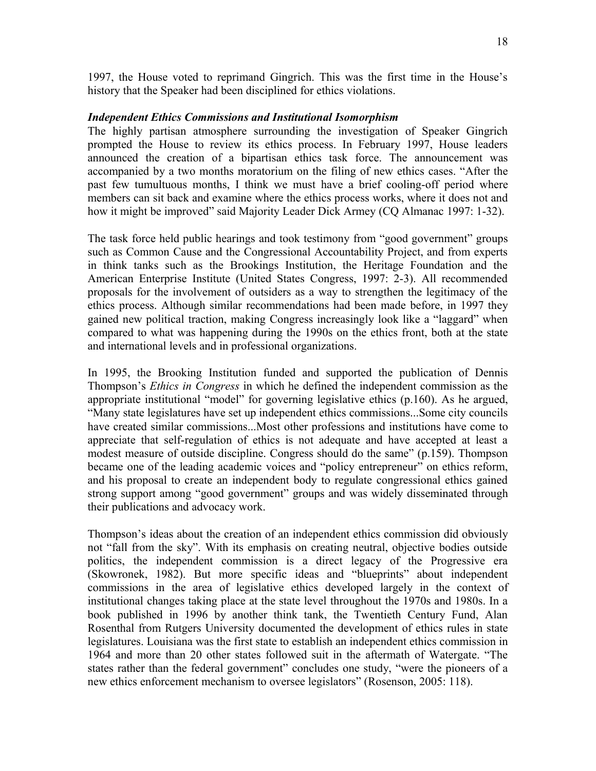1997, the House voted to reprimand Gingrich. This was the first time in the House's history that the Speaker had been disciplined for ethics violations.

### *Independent Ethics Commissions and Institutional Isomorphism*

The highly partisan atmosphere surrounding the investigation of Speaker Gingrich prompted the House to review its ethics process. In February 1997, House leaders announced the creation of a bipartisan ethics task force. The announcement was accompanied by a two months moratorium on the filing of new ethics cases. "After the past few tumultuous months, I think we must have a brief cooling-off period where members can sit back and examine where the ethics process works, where it does not and how it might be improved" said Majority Leader Dick Armey (CQ Almanac 1997: 1-32).

The task force held public hearings and took testimony from "good government" groups such as Common Cause and the Congressional Accountability Project, and from experts in think tanks such as the Brookings Institution, the Heritage Foundation and the American Enterprise Institute (United States Congress, 1997: 2-3). All recommended proposals for the involvement of outsiders as a way to strengthen the legitimacy of the ethics process. Although similar recommendations had been made before, in 1997 they gained new political traction, making Congress increasingly look like a "laggard" when compared to what was happening during the 1990s on the ethics front, both at the state and international levels and in professional organizations.

In 1995, the Brooking Institution funded and supported the publication of Dennis Thompson's *Ethics in Congress* in which he defined the independent commission as the appropriate institutional "model" for governing legislative ethics (p.160). As he argued, "Many state legislatures have set up independent ethics commissions...Some city councils have created similar commissions...Most other professions and institutions have come to appreciate that self-regulation of ethics is not adequate and have accepted at least a modest measure of outside discipline. Congress should do the same" (p.159). Thompson became one of the leading academic voices and "policy entrepreneur" on ethics reform, and his proposal to create an independent body to regulate congressional ethics gained strong support among "good government" groups and was widely disseminated through their publications and advocacy work.

Thompson's ideas about the creation of an independent ethics commission did obviously not "fall from the sky". With its emphasis on creating neutral, objective bodies outside politics, the independent commission is a direct legacy of the Progressive era (Skowronek, 1982). But more specific ideas and "blueprints" about independent commissions in the area of legislative ethics developed largely in the context of institutional changes taking place at the state level throughout the 1970s and 1980s. In a book published in 1996 by another think tank, the Twentieth Century Fund, Alan Rosenthal from Rutgers University documented the development of ethics rules in state legislatures. Louisiana was the first state to establish an independent ethics commission in 1964 and more than 20 other states followed suit in the aftermath of Watergate. "The states rather than the federal government" concludes one study, "were the pioneers of a new ethics enforcement mechanism to oversee legislators" (Rosenson, 2005: 118).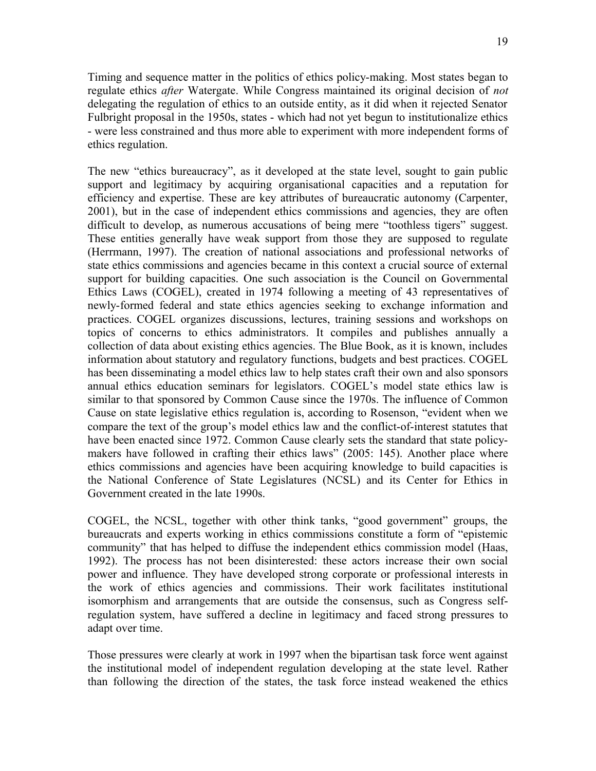Timing and sequence matter in the politics of ethics policy-making. Most states began to regulate ethics *after* Watergate. While Congress maintained its original decision of *not* delegating the regulation of ethics to an outside entity, as it did when it rejected Senator Fulbright proposal in the 1950s, states - which had not yet begun to institutionalize ethics - were less constrained and thus more able to experiment with more independent forms of ethics regulation.

The new "ethics bureaucracy", as it developed at the state level, sought to gain public support and legitimacy by acquiring organisational capacities and a reputation for efficiency and expertise. These are key attributes of bureaucratic autonomy (Carpenter, 2001), but in the case of independent ethics commissions and agencies, they are often difficult to develop, as numerous accusations of being mere "toothless tigers" suggest. These entities generally have weak support from those they are supposed to regulate (Herrmann, 1997). The creation of national associations and professional networks of state ethics commissions and agencies became in this context a crucial source of external support for building capacities. One such association is the Council on Governmental Ethics Laws (COGEL), created in 1974 following a meeting of 43 representatives of newly-formed federal and state ethics agencies seeking to exchange information and practices. COGEL organizes discussions, lectures, training sessions and workshops on topics of concerns to ethics administrators. It compiles and publishes annually a collection of data about existing ethics agencies. The Blue Book, as it is known, includes information about statutory and regulatory functions, budgets and best practices. COGEL has been disseminating a model ethics law to help states craft their own and also sponsors annual ethics education seminars for legislators. COGEL's model state ethics law is similar to that sponsored by Common Cause since the 1970s. The influence of Common Cause on state legislative ethics regulation is, according to Rosenson, "evident when we compare the text of the group's model ethics law and the conflict-of-interest statutes that have been enacted since 1972. Common Cause clearly sets the standard that state policymakers have followed in crafting their ethics laws" (2005: 145). Another place where ethics commissions and agencies have been acquiring knowledge to build capacities is the National Conference of State Legislatures (NCSL) and its Center for Ethics in Government created in the late 1990s.

COGEL, the NCSL, together with other think tanks, "good government" groups, the bureaucrats and experts working in ethics commissions constitute a form of "epistemic community" that has helped to diffuse the independent ethics commission model (Haas, 1992). The process has not been disinterested: these actors increase their own social power and influence. They have developed strong corporate or professional interests in the work of ethics agencies and commissions. Their work facilitates institutional isomorphism and arrangements that are outside the consensus, such as Congress selfregulation system, have suffered a decline in legitimacy and faced strong pressures to adapt over time.

Those pressures were clearly at work in 1997 when the bipartisan task force went against the institutional model of independent regulation developing at the state level. Rather than following the direction of the states, the task force instead weakened the ethics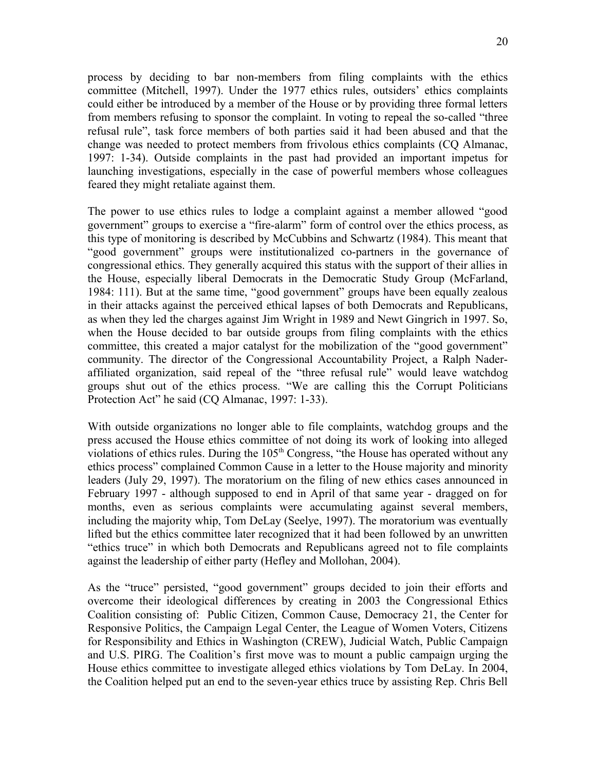process by deciding to bar non-members from filing complaints with the ethics committee (Mitchell, 1997). Under the 1977 ethics rules, outsiders' ethics complaints could either be introduced by a member of the House or by providing three formal letters from members refusing to sponsor the complaint. In voting to repeal the so-called "three refusal rule", task force members of both parties said it had been abused and that the change was needed to protect members from frivolous ethics complaints (CQ Almanac, 1997: 1-34). Outside complaints in the past had provided an important impetus for launching investigations, especially in the case of powerful members whose colleagues feared they might retaliate against them.

The power to use ethics rules to lodge a complaint against a member allowed "good government" groups to exercise a "fire-alarm" form of control over the ethics process, as this type of monitoring is described by McCubbins and Schwartz (1984). This meant that "good government" groups were institutionalized co-partners in the governance of congressional ethics. They generally acquired this status with the support of their allies in the House, especially liberal Democrats in the Democratic Study Group (McFarland, 1984: 111). But at the same time, "good government" groups have been equally zealous in their attacks against the perceived ethical lapses of both Democrats and Republicans, as when they led the charges against Jim Wright in 1989 and Newt Gingrich in 1997. So, when the House decided to bar outside groups from filing complaints with the ethics committee, this created a major catalyst for the mobilization of the "good government" community. The director of the Congressional Accountability Project, a Ralph Naderaffiliated organization, said repeal of the "three refusal rule" would leave watchdog groups shut out of the ethics process. "We are calling this the Corrupt Politicians Protection Act" he said (CQ Almanac, 1997: 1-33).

With outside organizations no longer able to file complaints, watchdog groups and the press accused the House ethics committee of not doing its work of looking into alleged violations of ethics rules. During the  $105<sup>th</sup>$  Congress, "the House has operated without any ethics process" complained Common Cause in a letter to the House majority and minority leaders (July 29, 1997). The moratorium on the filing of new ethics cases announced in February 1997 - although supposed to end in April of that same year - dragged on for months, even as serious complaints were accumulating against several members, including the majority whip, Tom DeLay (Seelye, 1997). The moratorium was eventually lifted but the ethics committee later recognized that it had been followed by an unwritten "ethics truce" in which both Democrats and Republicans agreed not to file complaints against the leadership of either party (Hefley and Mollohan, 2004).

As the "truce" persisted, "good government" groups decided to join their efforts and overcome their ideological differences by creating in 2003 the Congressional Ethics Coalition consisting of: Public Citizen, Common Cause, Democracy 21, the Center for Responsive Politics, the Campaign Legal Center, the League of Women Voters, Citizens for Responsibility and Ethics in Washington (CREW), Judicial Watch, Public Campaign and U.S. PIRG. The Coalition's first move was to mount a public campaign urging the House ethics committee to investigate alleged ethics violations by Tom DeLay. In 2004, the Coalition helped put an end to the seven-year ethics truce by assisting Rep. Chris Bell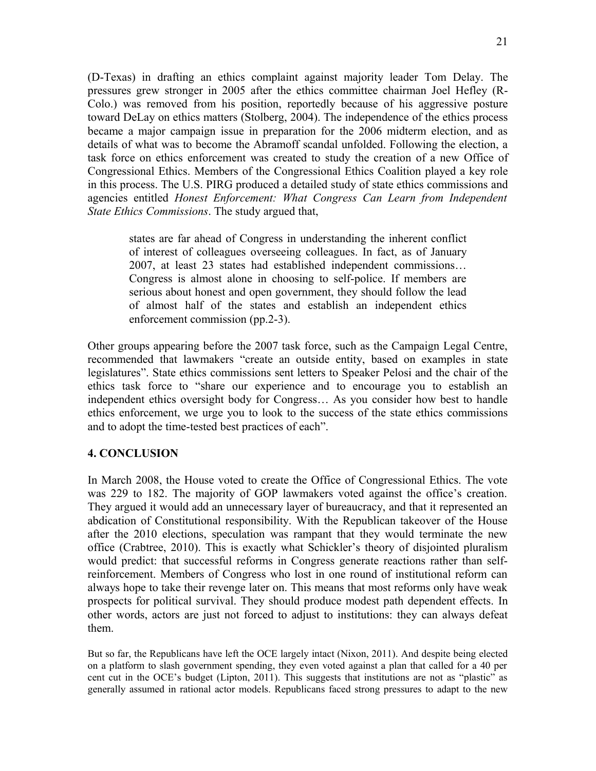(D-Texas) in drafting an ethics complaint against majority leader Tom Delay. The pressures grew stronger in 2005 after the ethics committee chairman Joel Hefley (R-Colo.) was removed from his position, reportedly because of his aggressive posture toward DeLay on ethics matters (Stolberg, 2004). The independence of the ethics process became a major campaign issue in preparation for the 2006 midterm election, and as details of what was to become the Abramoff scandal unfolded. Following the election, a task force on ethics enforcement was created to study the creation of a new Office of Congressional Ethics. Members of the Congressional Ethics Coalition played a key role in this process. The U.S. PIRG produced a detailed study of state ethics commissions and agencies entitled *Honest Enforcement: What Congress Can Learn from Independent State Ethics Commissions*. The study argued that,

states are far ahead of Congress in understanding the inherent conflict of interest of colleagues overseeing colleagues. In fact, as of January 2007, at least 23 states had established independent commissions… Congress is almost alone in choosing to self-police. If members are serious about honest and open government, they should follow the lead of almost half of the states and establish an independent ethics enforcement commission (pp.2-3).

Other groups appearing before the 2007 task force, such as the Campaign Legal Centre, recommended that lawmakers "create an outside entity, based on examples in state legislatures". State ethics commissions sent letters to Speaker Pelosi and the chair of the ethics task force to "share our experience and to encourage you to establish an independent ethics oversight body for Congress… As you consider how best to handle ethics enforcement, we urge you to look to the success of the state ethics commissions and to adopt the time-tested best practices of each".

# **4. CONCLUSION**

In March 2008, the House voted to create the Office of Congressional Ethics. The vote was 229 to 182. The majority of GOP lawmakers voted against the office's creation. They argued it would add an unnecessary layer of bureaucracy, and that it represented an abdication of Constitutional responsibility. With the Republican takeover of the House after the 2010 elections, speculation was rampant that they would terminate the new office (Crabtree, 2010). This is exactly what Schickler's theory of disjointed pluralism would predict: that successful reforms in Congress generate reactions rather than selfreinforcement. Members of Congress who lost in one round of institutional reform can always hope to take their revenge later on. This means that most reforms only have weak prospects for political survival. They should produce modest path dependent effects. In other words, actors are just not forced to adjust to institutions: they can always defeat them.

But so far, the Republicans have left the OCE largely intact (Nixon, 2011). And despite being elected on a platform to slash government spending, they even voted against a plan that called for a 40 per cent cut in the OCE's budget (Lipton, 2011). This suggests that institutions are not as "plastic" as generally assumed in rational actor models. Republicans faced strong pressures to adapt to the new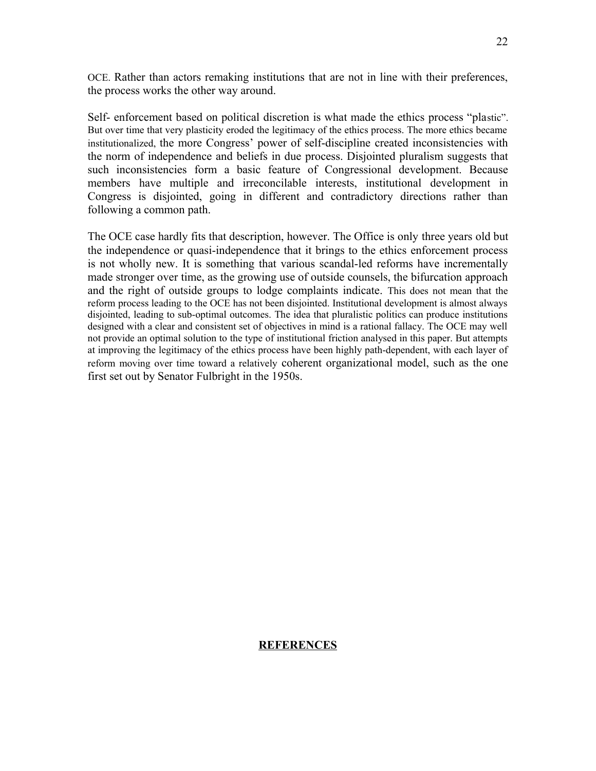OCE. Rather than actors remaking institutions that are not in line with their preferences, the process works the other way around.

Self- enforcement based on political discretion is what made the ethics process "plastic". But over time that very plasticity eroded the legitimacy of the ethics process. The more ethics became institutionalized, the more Congress' power of self-discipline created inconsistencies with the norm of independence and beliefs in due process. Disjointed pluralism suggests that such inconsistencies form a basic feature of Congressional development. Because members have multiple and irreconcilable interests, institutional development in Congress is disjointed, going in different and contradictory directions rather than following a common path.

The OCE case hardly fits that description, however. The Office is only three years old but the independence or quasi-independence that it brings to the ethics enforcement process is not wholly new. It is something that various scandal-led reforms have incrementally made stronger over time, as the growing use of outside counsels, the bifurcation approach and the right of outside groups to lodge complaints indicate. This does not mean that the reform process leading to the OCE has not been disjointed. Institutional development is almost always disjointed, leading to sub-optimal outcomes. The idea that pluralistic politics can produce institutions designed with a clear and consistent set of objectives in mind is a rational fallacy. The OCE may well not provide an optimal solution to the type of institutional friction analysed in this paper. But attempts at improving the legitimacy of the ethics process have been highly path-dependent, with each layer of reform moving over time toward a relatively coherent organizational model, such as the one first set out by Senator Fulbright in the 1950s.

#### 22

# **REFERENCES**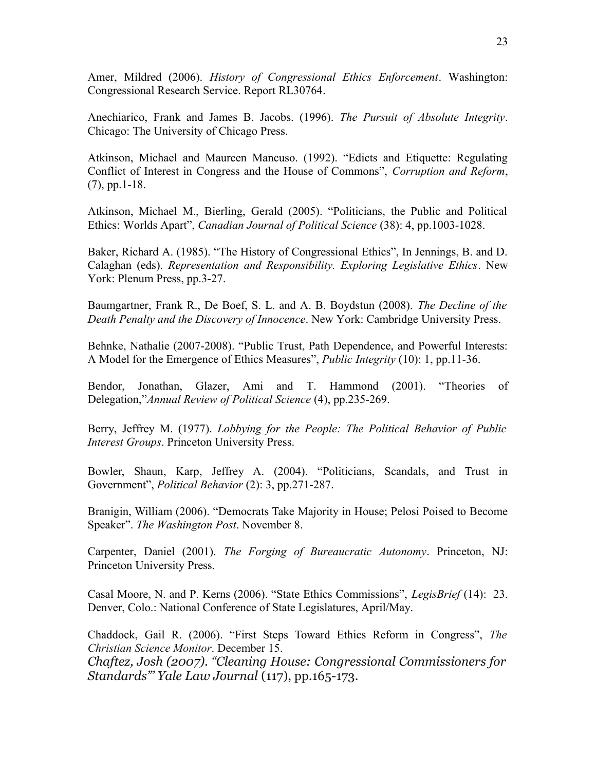Amer, Mildred (2006). *History of Congressional Ethics Enforcement*. Washington: Congressional Research Service. Report RL30764.

Anechiarico, Frank and James B. Jacobs. (1996). *The Pursuit of Absolute Integrity*. Chicago: The University of Chicago Press.

Atkinson, Michael and Maureen Mancuso. (1992). "Edicts and Etiquette: Regulating Conflict of Interest in Congress and the House of Commons", *Corruption and Reform*, (7), pp.1-18.

Atkinson, Michael M., Bierling, Gerald (2005). "Politicians, the Public and Political Ethics: Worlds Apart", *Canadian Journal of Political Science* (38): 4, pp.1003-1028.

Baker, Richard A. (1985). "The History of Congressional Ethics", In Jennings, B. and D. Calaghan (eds). *Representation and Responsibility. Exploring Legislative Ethics*. New York: Plenum Press, pp.3-27.

Baumgartner, Frank R., De Boef, S. L. and A. B. Boydstun (2008). *The Decline of the Death Penalty and the Discovery of Innocence*. New York: Cambridge University Press.

Behnke, Nathalie (2007-2008). "Public Trust, Path Dependence, and Powerful Interests: A Model for the Emergence of Ethics Measures", *Public Integrity* (10): 1, pp.11-36.

Bendor, Jonathan, Glazer, Ami and T. Hammond (2001). "Theories of Delegation,"*Annual Review of Political Science* (4), pp.235-269.

Berry, Jeffrey M. (1977). *Lobbying for the People: The Political Behavior of Public Interest Groups*. Princeton University Press.

Bowler, Shaun, Karp, Jeffrey A. (2004). "Politicians, Scandals, and Trust in Government", *Political Behavior* (2): 3, pp.271-287.

Branigin, William (2006). "Democrats Take Majority in House; Pelosi Poised to Become Speaker". *The Washington Post*. November 8.

Carpenter, Daniel (2001). *The Forging of Bureaucratic Autonomy*. Princeton, NJ: Princeton University Press.

Casal Moore, N. and P. Kerns (2006). "State Ethics Commissions", *LegisBrief* (14): 23. Denver, Colo.: National Conference of State Legislatures, April/May.

Chaddock, Gail R. (2006). "First Steps Toward Ethics Reform in Congress", *The Christian Science Monitor*. December 15.

*Chaftez, Josh (2007). "Cleaning House: Congressional Commissioners for Standards"' Yale Law Journal* (117), pp.165-173.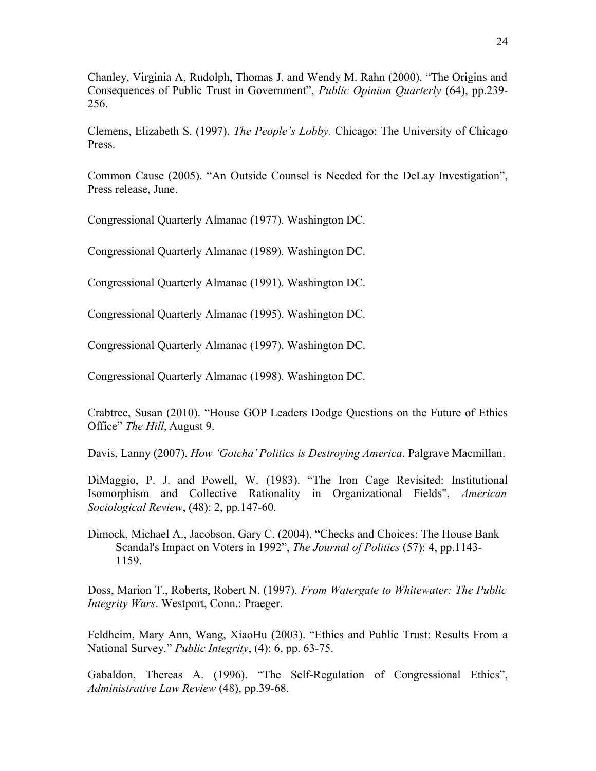Chanley, Virginia A, Rudolph, Thomas J. and Wendy M. Rahn (2000). "The Origins and Consequences of Public Trust in Government", *Public Opinion Quarterly* (64), pp.239- 256.

Clemens, Elizabeth S. (1997). *The People's Lobby.* Chicago: The University of Chicago Press.

Common Cause (2005). "An Outside Counsel is Needed for the DeLay Investigation", Press release, June.

Congressional Quarterly Almanac (1977). Washington DC.

Congressional Quarterly Almanac (1989). Washington DC.

Congressional Quarterly Almanac (1991). Washington DC.

Congressional Quarterly Almanac (1995). Washington DC.

Congressional Quarterly Almanac (1997). Washington DC.

Congressional Quarterly Almanac (1998). Washington DC.

Crabtree, Susan (2010). "House GOP Leaders Dodge Questions on the Future of Ethics Office" *The Hill*, August 9.

Davis, Lanny (2007). *How 'Gotcha' Politics is Destroying America*. Palgrave Macmillan.

DiMaggio, P. J. and Powell, W. (1983). "The Iron Cage Revisited: Institutional Isomorphism and Collective Rationality in Organizational Fields", *American Sociological Review*, (48): 2, pp.147-60.

Dimock, Michael A., Jacobson, Gary C. (2004). "Checks and Choices: The House Bank Scandal's Impact on Voters in 1992", *The Journal of Politics* (57): 4, pp.1143- 1159.

Doss, Marion T., Roberts, Robert N. (1997). *From Watergate to Whitewater: The Public Integrity Wars*. Westport, Conn.: Praeger.

Feldheim, Mary Ann, Wang, XiaoHu (2003). "Ethics and Public Trust: Results From a National Survey." *Public Integrity*, (4): 6, pp. 63-75.

Gabaldon, Thereas A. (1996). "The Self-Regulation of Congressional Ethics", *Administrative Law Review* (48), pp.39-68.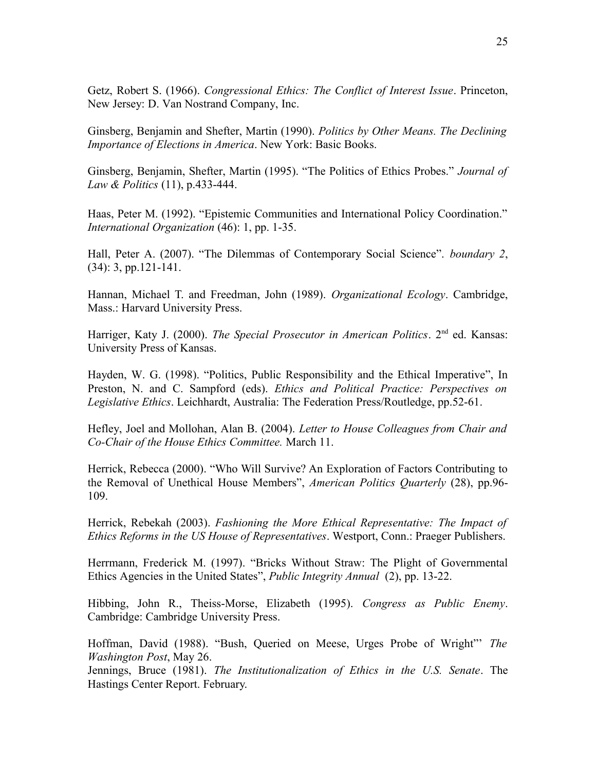Getz, Robert S. (1966). *Congressional Ethics: The Conflict of Interest Issue*. Princeton, New Jersey: D. Van Nostrand Company, Inc.

Ginsberg, Benjamin and Shefter, Martin (1990). *Politics by Other Means. The Declining Importance of Elections in America*. New York: Basic Books.

Ginsberg, Benjamin, Shefter, Martin (1995). "The Politics of Ethics Probes." *Journal of Law & Politics* (11), p.433-444.

Haas, Peter M. (1992). "Epistemic Communities and International Policy Coordination." *International Organization* (46): 1, pp. 1-35.

Hall, Peter A. (2007). "The Dilemmas of Contemporary Social Science". *boundary 2*, (34): 3, pp.121-141.

Hannan, Michael T. and Freedman, John (1989). *Organizational Ecology*. Cambridge, Mass.: Harvard University Press.

Harriger, Katy J. (2000). *The Special Prosecutor in American Politics*. 2<sup>nd</sup> ed. Kansas: University Press of Kansas.

Hayden, W. G. (1998). "Politics, Public Responsibility and the Ethical Imperative", In Preston, N. and C. Sampford (eds). *Ethics and Political Practice: Perspectives on Legislative Ethics*. Leichhardt, Australia: The Federation Press/Routledge, pp.52-61.

Hefley, Joel and Mollohan, Alan B. (2004). *Letter to House Colleagues from Chair and Co-Chair of the House Ethics Committee.* March 11.

Herrick, Rebecca (2000). "Who Will Survive? An Exploration of Factors Contributing to the Removal of Unethical House Members", *American Politics Quarterly* (28), pp.96- 109.

Herrick, Rebekah (2003). *Fashioning the More Ethical Representative: The Impact of Ethics Reforms in the US House of Representatives*. Westport, Conn.: Praeger Publishers.

Herrmann, Frederick M. (1997). "Bricks Without Straw: The Plight of Governmental Ethics Agencies in the United States", *Public Integrity Annual* (2), pp. 13-22.

Hibbing, John R., Theiss-Morse, Elizabeth (1995). *Congress as Public Enemy*. Cambridge: Cambridge University Press.

Hoffman, David (1988). "Bush, Queried on Meese, Urges Probe of Wright"' *The Washington Post*, May 26.

Jennings, Bruce (1981). *The Institutionalization of Ethics in the U.S. Senate*. The Hastings Center Report. February.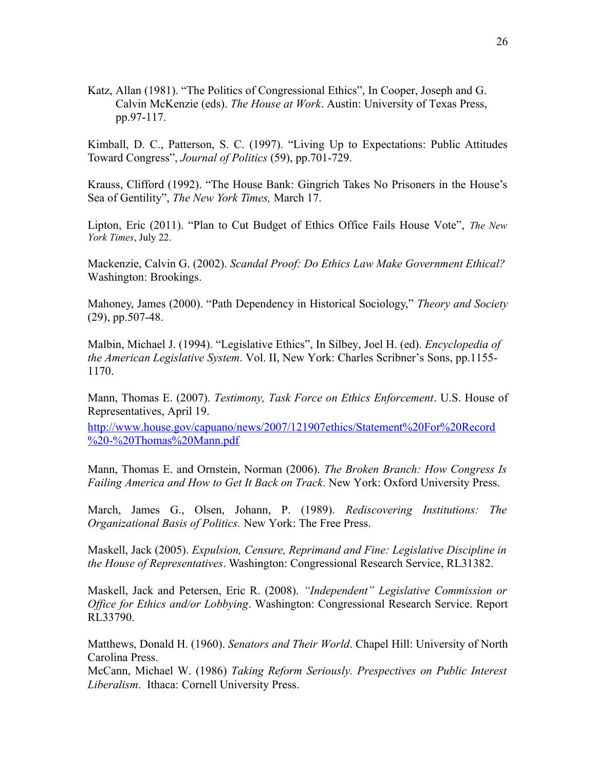Katz, Allan (1981). "The Politics of Congressional Ethics", In Cooper, Joseph and G. Calvin McKenzie (eds). *The House at Work*. Austin: University of Texas Press, pp.97-117.

Kimball, D. C., Patterson, S. C. (1997). "Living Up to Expectations: Public Attitudes Toward Congress", *Journal of Politics* (59), pp.701-729.

Krauss, Clifford (1992). "The House Bank: Gingrich Takes No Prisoners in the House's Sea of Gentility", *The New York Times,* March 17.

Lipton, Eric (2011). "Plan to Cut Budget of Ethics Office Fails House Vote", *The New York Times*, July 22.

Mackenzie, Calvin G. (2002). *Scandal Proof: Do Ethics Law Make Government Ethical?* Washington: Brookings.

Mahoney, James (2000). "Path Dependency in Historical Sociology," *Theory and Society* (29), pp.507-48.

Malbin, Michael J. (1994). "Legislative Ethics", In Silbey, Joel H. (ed). *Encyclopedia of the American Legislative System*. Vol. II, New York: Charles Scribner's Sons, pp.1155- 1170.

Mann, Thomas E. (2007). *Testimony, Task Force on Ethics Enforcement*. U.S. House of Representatives, April 19.

[http://www.house.gov/capuano/news/2007/121907ethics/Statement%20For%20Record](http://www.house.gov/capuano/news/2007/121907ethics/Statement%20For%20Record%20-%20Thomas%20Mann.pdf) [%20-%20Thomas%20Mann.pdf](http://www.house.gov/capuano/news/2007/121907ethics/Statement%20For%20Record%20-%20Thomas%20Mann.pdf)

Mann, Thomas E. and Ornstein, Norman (2006). *The Broken Branch: How Congress Is Failing America and How to Get It Back on Track*. New York: Oxford University Press.

March, James G., Olsen, Johann, P. (1989). *Rediscovering Institutions: The Organizational Basis of Politics.* New York: The Free Press.

Maskell, Jack (2005). *Expulsion, Censure, Reprimand and Fine: Legislative Discipline in the House of Representatives*. Washington: Congressional Research Service, RL31382.

Maskell, Jack and Petersen, Eric R. (2008). *"Independent" Legislative Commission or Office for Ethics and/or Lobbying*. Washington: Congressional Research Service. Report RL33790.

Matthews, Donald H. (1960). *Senators and Their World*. Chapel Hill: University of North Carolina Press.

McCann, Michael W. (1986) *Taking Reform Seriously. Prespectives on Public Interest Liberalism*. Ithaca: Cornell University Press.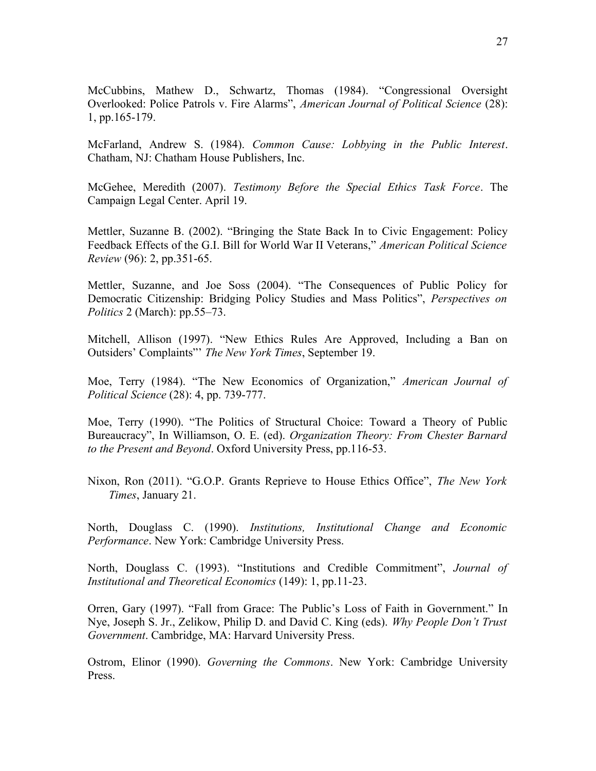McCubbins, Mathew D., Schwartz, Thomas (1984). "Congressional Oversight Overlooked: Police Patrols v. Fire Alarms", *American Journal of Political Science* (28): 1, pp.165-179.

McFarland, Andrew S. (1984). *Common Cause: Lobbying in the Public Interest*. Chatham, NJ: Chatham House Publishers, Inc.

McGehee, Meredith (2007). *Testimony Before the Special Ethics Task Force*. The Campaign Legal Center. April 19.

Mettler, Suzanne B. (2002). "Bringing the State Back In to Civic Engagement: Policy Feedback Effects of the G.I. Bill for World War II Veterans," *American Political Science Review* (96): 2, pp.351-65.

Mettler, Suzanne, and Joe Soss (2004). "The Consequences of Public Policy for Democratic Citizenship: Bridging Policy Studies and Mass Politics", *Perspectives on Politics* 2 (March): pp.55–73.

Mitchell, Allison (1997). "New Ethics Rules Are Approved, Including a Ban on Outsiders' Complaints"' *The New York Times*, September 19.

Moe, Terry (1984). "The New Economics of Organization," *American Journal of Political Science* (28): 4, pp. 739-777.

Moe, Terry (1990). "The Politics of Structural Choice: Toward a Theory of Public Bureaucracy", In Williamson, O. E. (ed). *Organization Theory: From Chester Barnard to the Present and Beyond*. Oxford University Press, pp.116-53.

Nixon, Ron (2011). "G.O.P. Grants Reprieve to House Ethics Office", *The New York Times*, January 21.

North, Douglass C. (1990). *Institutions, Institutional Change and Economic Performance*. New York: Cambridge University Press.

North, Douglass C. (1993). "Institutions and Credible Commitment", *Journal of Institutional and Theoretical Economics* (149): 1, pp.11-23.

Orren, Gary (1997). "Fall from Grace: The Public's Loss of Faith in Government." In Nye, Joseph S. Jr., Zelikow, Philip D. and David C. King (eds). *Why People Don't Trust Government*. Cambridge, MA: Harvard University Press.

Ostrom, Elinor (1990). *Governing the Commons*. New York: Cambridge University Press.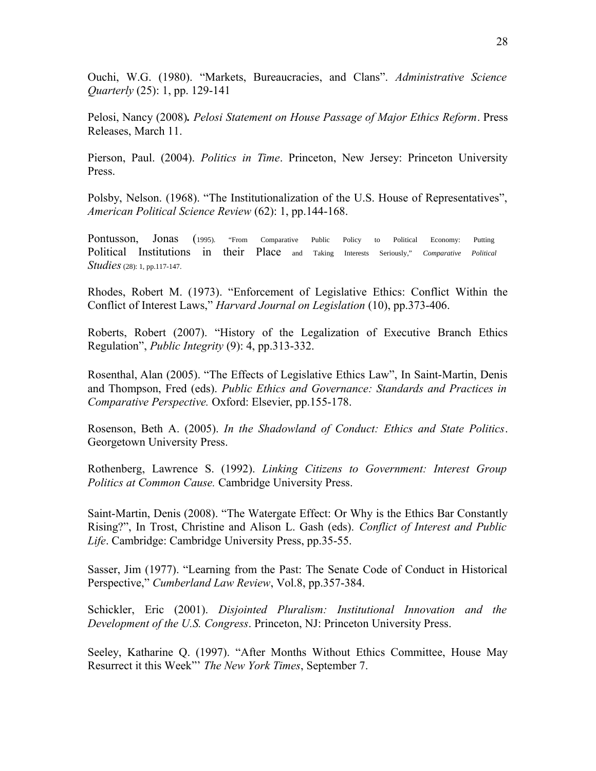Ouchi, W.G. (1980). "Markets, Bureaucracies, and Clans". *Administrative Science Quarterly* (25): 1, pp. 129-141

Pelosi, Nancy (2008)*. Pelosi Statement on House Passage of Major Ethics Reform*. Press Releases, March 11.

Pierson, Paul. (2004). *Politics in Time*. Princeton, New Jersey: Princeton University Press.

Polsby, Nelson. (1968). "The Institutionalization of the U.S. House of Representatives", *American Political Science Review* (62): 1, pp.144-168.

Pontusson, Jonas (1995). "From Comparative Public Policy to Political Economy: Putting Political Institutions in their Place and Taking Interests Seriously," *Comparative Political Studies* (28): 1, pp.117-147.

Rhodes, Robert M. (1973). "Enforcement of Legislative Ethics: Conflict Within the Conflict of Interest Laws," *Harvard Journal on Legislation* (10), pp.373-406.

Roberts, Robert (2007). "History of the Legalization of Executive Branch Ethics Regulation", *Public Integrity* (9): 4, pp.313-332.

Rosenthal, Alan (2005). "The Effects of Legislative Ethics Law", In Saint-Martin, Denis and Thompson, Fred (eds). *Public Ethics and Governance: Standards and Practices in Comparative Perspective.* Oxford: Elsevier, pp.155-178.

Rosenson, Beth A. (2005). *In the Shadowland of Conduct: Ethics and State Politics*. Georgetown University Press.

Rothenberg, Lawrence S. (1992). *Linking Citizens to Government: Interest Group Politics at Common Cause.* Cambridge University Press.

Saint-Martin, Denis (2008). "The Watergate Effect: Or Why is the Ethics Bar Constantly Rising?", In Trost, Christine and Alison L. Gash (eds). *Conflict of Interest and Public Life*. Cambridge: Cambridge University Press, pp.35-55.

Sasser, Jim (1977). "Learning from the Past: The Senate Code of Conduct in Historical Perspective," *Cumberland Law Review*, Vol.8, pp.357-384.

Schickler, Eric (2001). *Disjointed Pluralism: Institutional Innovation and the Development of the U.S. Congress*. Princeton, NJ: Princeton University Press.

Seeley, Katharine Q. (1997). "After Months Without Ethics Committee, House May Resurrect it this Week"' *The New York Times*, September 7.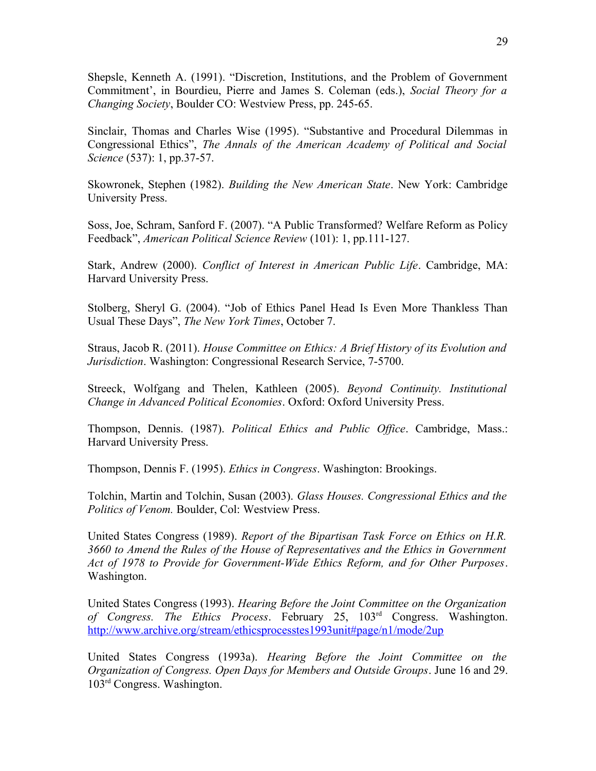Shepsle, Kenneth A. (1991). "Discretion, Institutions, and the Problem of Government Commitment', in Bourdieu, Pierre and James S. Coleman (eds.), *Social Theory for a Changing Society*, Boulder CO: Westview Press, pp. 245-65.

Sinclair, Thomas and Charles Wise (1995). "Substantive and Procedural Dilemmas in Congressional Ethics", *The Annals of the American Academy of Political and Social Science* (537): 1, pp.37-57.

Skowronek, Stephen (1982). *Building the New American State*. New York: Cambridge University Press.

Soss, Joe, Schram, Sanford F. (2007). "A Public Transformed? Welfare Reform as Policy Feedback", *American Political Science Review* (101): 1, pp.111-127.

Stark, Andrew (2000). *Conflict of Interest in American Public Life*. Cambridge, MA: Harvard University Press.

Stolberg, Sheryl G. (2004). "Job of Ethics Panel Head Is Even More Thankless Than Usual These Days", *The New York Times*, October 7.

Straus, Jacob R. (2011). *House Committee on Ethics: A Brief History of its Evolution and Jurisdiction*. Washington: Congressional Research Service, 7-5700.

Streeck, Wolfgang and Thelen, Kathleen (2005). *Beyond Continuity. Institutional Change in Advanced Political Economies*. Oxford: Oxford University Press.

Thompson, Dennis. (1987). *Political Ethics and Public Office*. Cambridge, Mass.: Harvard University Press.

Thompson, Dennis F. (1995). *Ethics in Congress*. Washington: Brookings.

Tolchin, Martin and Tolchin, Susan (2003). *Glass Houses. Congressional Ethics and the Politics of Venom.* Boulder, Col: Westview Press.

United States Congress (1989). *Report of the Bipartisan Task Force on Ethics on H.R. 3660 to Amend the Rules of the House of Representatives and the Ethics in Government Act of 1978 to Provide for Government-Wide Ethics Reform, and for Other Purposes*. Washington.

United States Congress (1993). *Hearing Before the Joint Committee on the Organization of Congress. The Ethics Process*. February 25, 103rd Congress. Washington. <http://www.archive.org/stream/ethicsprocesstes1993unit#page/n1/mode/2up>

United States Congress (1993a). *Hearing Before the Joint Committee on the Organization of Congress. Open Days for Members and Outside Groups*. June 16 and 29. 103rd Congress. Washington.